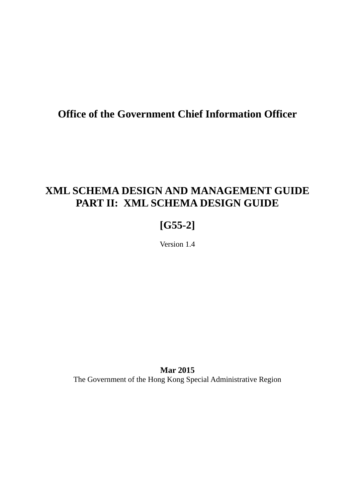# **Office of the Government Chief Information Officer**

# **XML SCHEMA DESIGN AND MANAGEMENT GUIDE PART II: XML SCHEMA DESIGN GUIDE**

# **[G55-2]**

Version 1.4

**Mar 2015** The Government of the Hong Kong Special Administrative Region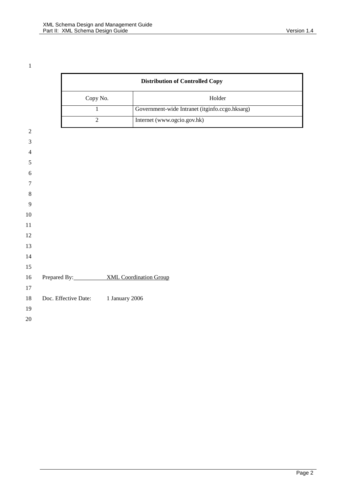|                |                      |                |                | <b>Distribution of Controlled Copy</b>         |  |  |
|----------------|----------------------|----------------|----------------|------------------------------------------------|--|--|
|                |                      | Copy No.       |                | Holder                                         |  |  |
|                |                      | $\mathbf{1}$   |                | Government-wide Intranet (itginfo.ccgo.hksarg) |  |  |
|                |                      | $\overline{2}$ |                | Internet (www.ogcio.gov.hk)                    |  |  |
| $\sqrt{2}$     |                      |                |                |                                                |  |  |
| $\mathfrak{Z}$ |                      |                |                |                                                |  |  |
| $\overline{4}$ |                      |                |                |                                                |  |  |
| 5              |                      |                |                |                                                |  |  |
| 6              |                      |                |                |                                                |  |  |
| $\tau$         |                      |                |                |                                                |  |  |
| $\,8\,$        |                      |                |                |                                                |  |  |
| 9              |                      |                |                |                                                |  |  |
| 10             |                      |                |                |                                                |  |  |
| 11             |                      |                |                |                                                |  |  |
| 12             |                      |                |                |                                                |  |  |
| 13             |                      |                |                |                                                |  |  |
| 14             |                      |                |                |                                                |  |  |
| 15             |                      |                |                |                                                |  |  |
| 16             |                      |                |                | Prepared By: XML Coordination Group            |  |  |
| 17             |                      |                |                |                                                |  |  |
| 18             | Doc. Effective Date: |                | 1 January 2006 |                                                |  |  |
| 19             |                      |                |                |                                                |  |  |
| 20             |                      |                |                |                                                |  |  |
|                |                      |                |                |                                                |  |  |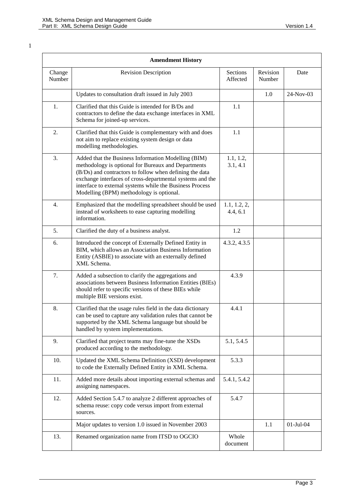| <b>Amendment History</b> |                                                                                                                                                                                                                                                                                                                                            |                          |                    |              |  |
|--------------------------|--------------------------------------------------------------------------------------------------------------------------------------------------------------------------------------------------------------------------------------------------------------------------------------------------------------------------------------------|--------------------------|--------------------|--------------|--|
| Change<br>Number         | <b>Revision Description</b>                                                                                                                                                                                                                                                                                                                | Sections<br>Affected     | Revision<br>Number | Date         |  |
|                          | Updates to consultation draft issued in July 2003                                                                                                                                                                                                                                                                                          |                          | 1.0                | $24$ -Nov-03 |  |
| 1.                       | Clarified that this Guide is intended for B/Ds and<br>contractors to define the data exchange interfaces in XML<br>Schema for joined-up services.                                                                                                                                                                                          | 1.1                      |                    |              |  |
| 2.                       | Clarified that this Guide is complementary with and does<br>not aim to replace existing system design or data<br>modelling methodologies.                                                                                                                                                                                                  | 1.1                      |                    |              |  |
| 3.                       | Added that the Business Information Modelling (BIM)<br>methodology is optional for Bureaux and Departments<br>(B/Ds) and contractors to follow when defining the data<br>exchange interfaces of cross-departmental systems and the<br>interface to external systems while the Business Process<br>Modelling (BPM) methodology is optional. | 1.1, 1.2,<br>3.1, 4.1    |                    |              |  |
| 4.                       | Emphasized that the modelling spreadsheet should be used<br>instead of worksheets to ease capturing modelling<br>information.                                                                                                                                                                                                              | 1.1, 1.2, 2,<br>4.4, 6.1 |                    |              |  |
| 5.                       | Clarified the duty of a business analyst.                                                                                                                                                                                                                                                                                                  | 1.2                      |                    |              |  |
| 6.                       | Introduced the concept of Externally Defined Entity in<br>BIM, which allows an Association Business Information<br>Entity (ASBIE) to associate with an externally defined<br>XML Schema.                                                                                                                                                   | 4.3.2, 4.3.5             |                    |              |  |
| 7.                       | Added a subsection to clarify the aggregations and<br>associations between Business Information Entities (BIEs)<br>should refer to specific versions of these BIEs while<br>multiple BIE versions exist.                                                                                                                                   | 4.3.9                    |                    |              |  |
| 8.                       | Clarified that the usage rules field in the data dictionary<br>can be used to capture any validation rules that cannot be<br>supported by the XML Schema language but should be<br>handled by system implementations.                                                                                                                      | 4.4.1                    |                    |              |  |
| 9.                       | Clarified that project teams may fine-tune the XSDs<br>produced according to the methodology.                                                                                                                                                                                                                                              | 5.1, 5.4.5               |                    |              |  |
| 10.                      | Updated the XML Schema Definition (XSD) development<br>to code the Externally Defined Entity in XML Schema.                                                                                                                                                                                                                                | 5.3.3                    |                    |              |  |
| 11.                      | Added more details about importing external schemas and<br>assigning namespaces.                                                                                                                                                                                                                                                           | 5.4.1, 5.4.2             |                    |              |  |
| 12.                      | Added Section 5.4.7 to analyze 2 different approaches of<br>schema reuse: copy code versus import from external<br>sources.                                                                                                                                                                                                                | 5.4.7                    |                    |              |  |
|                          | Major updates to version 1.0 issued in November 2003                                                                                                                                                                                                                                                                                       |                          | 1.1                | $01-Jul-04$  |  |
| 13.                      | Renamed organization name from ITSD to OGCIO                                                                                                                                                                                                                                                                                               | Whole<br>document        |                    |              |  |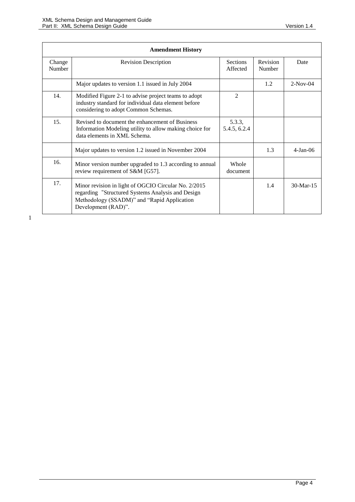| <b>Amendment History</b> |                                                                                                                                                                                 |                             |                    |             |  |
|--------------------------|---------------------------------------------------------------------------------------------------------------------------------------------------------------------------------|-----------------------------|--------------------|-------------|--|
| Change<br>Number         | <b>Revision Description</b>                                                                                                                                                     | <b>Sections</b><br>Affected | Revision<br>Number | Date        |  |
|                          | Major updates to version 1.1 issued in July 2004                                                                                                                                |                             | 1.2                | $2-Nov-04$  |  |
| 14.                      | Modified Figure 2-1 to advise project teams to adopt<br>industry standard for individual data element before<br>considering to adopt Common Schemas.                            | $\mathfrak{D}$              |                    |             |  |
| 15.                      | Revised to document the enhancement of Business<br>Information Modeling utility to allow making choice for<br>data elements in XML Schema.                                      | 5.3.3,<br>5.4.5, 6.2.4      |                    |             |  |
|                          | Major updates to version 1.2 issued in November 2004                                                                                                                            |                             | 1.3                | $4-Jan-06$  |  |
| 16.                      | Minor version number upgraded to 1.3 according to annual<br>review requirement of S&M [G57].                                                                                    | Whole<br>document           |                    |             |  |
| 17.                      | Minor revision in light of OGCIO Circular No. 2/2015<br>regarding "Structured Systems Analysis and Design<br>Methodology (SSADM)" and "Rapid Application<br>Development (RAD)". |                             | 1.4                | $30-Mar-15$ |  |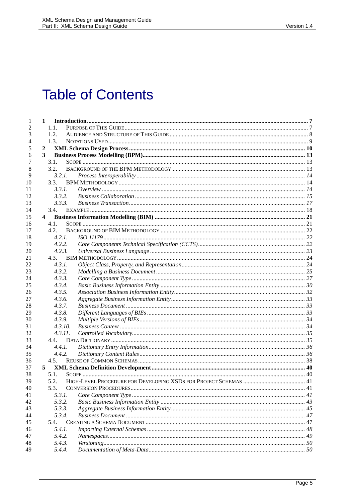# **Table of Contents**

| 1        | $\mathbf{1}$   |  |
|----------|----------------|--|
| 2        | 1.1.           |  |
| 3        | 1.2.           |  |
| 4        | 1.3.           |  |
| 5        | $\overline{2}$ |  |
| 6        | 3              |  |
| 7        | 3.1.           |  |
| 8        | 3.2.           |  |
| 9        | 3.2.1.         |  |
| 10       | 3.3.           |  |
| 11       | 3.3.1.         |  |
| 12       | 3.3.2.         |  |
| 13       | 3.3.3.         |  |
| 14       | 3.4.           |  |
| 15       | 4              |  |
| 16       | 4.1.           |  |
| 17       | 4.2.           |  |
| 18       | 4.2.1.         |  |
| 19       | 4.2.2.         |  |
| 20       | 4.2.3.         |  |
| 21       | 4.3.           |  |
| 22       | 4.3.1.         |  |
| 23       | 4.3.2.         |  |
| 24       | 4.3.3.         |  |
| 25       | 4.3.4.         |  |
| 26       | 4.3.5.         |  |
| 27       | 4.3.6.         |  |
| 28       | 4.3.7.         |  |
| 29       | 4.3.8.         |  |
| 30       | 4.3.9.         |  |
| 31       | 4.3.10.        |  |
| 32       | 4.3.11.        |  |
| 33       | 4.4.           |  |
| 34       | 4.4.1.         |  |
| 35       | 4.4.2.         |  |
| 36       | 4.5.           |  |
| 37       | 5              |  |
| 38       | 5.1.           |  |
| 39       | 5.2.<br>5.3.   |  |
| 40       | 5.3.1.         |  |
| 41<br>42 | 5.3.2.         |  |
| 43       | 5.3.3.         |  |
|          |                |  |
| 44       | 5.3.4.<br>5.4. |  |
| 45<br>46 | 5.4.1.         |  |
| 47       | 5.4.2.         |  |
| 48       | 5.4.3.         |  |
| 49       | 5.4.4.         |  |
|          |                |  |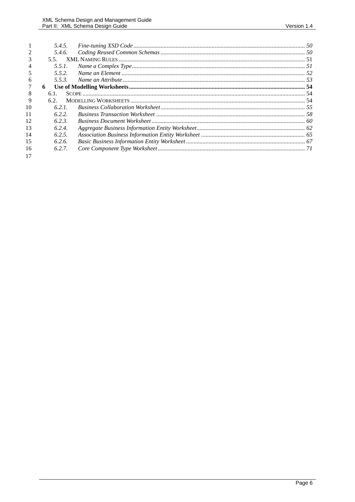|    | 5.4.5. |  |
|----|--------|--|
|    | 5.4.6. |  |
|    | 55     |  |
| 4  | 5.5.1  |  |
|    | 5.5.2. |  |
| 6  | 5.5.3. |  |
|    | 6      |  |
| 8  | 6.1.   |  |
| 9  | 6.2.   |  |
| 10 | 6.2.1  |  |
| 11 | 622    |  |
| 12 | 623    |  |
| 13 | 6.2.4. |  |
| 14 | 6.2.5. |  |
| 15 | 6.2.6. |  |
| 16 | 6.2.7. |  |
| 17 |        |  |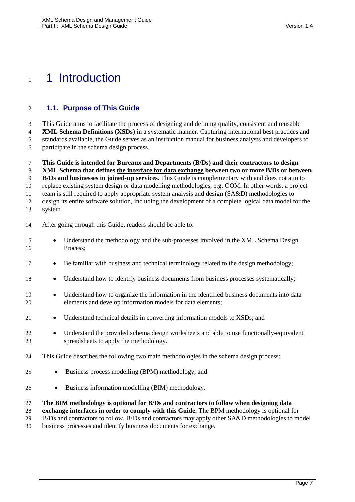# <span id="page-6-1"></span>1 1 Introduction

### <span id="page-6-0"></span>**1.1. Purpose of This Guide**

 This Guide aims to facilitate the process of designing and defining quality, consistent and reusable **XML Schema Definitions (XSDs)** in a systematic manner. Capturing international best practices and standards available, the Guide serves as an instruction manual for business analysts and developers to participate in the schema design process.

**This Guide is intended for Bureaux and Departments (B/Ds) and their contractors to design** 

**XML Schema that defines the interface for data exchange between two or more B/Ds or between** 

**B/Ds and businesses in joined-up services.** This Guide is complementary with and does not aim to

replace existing system design or data modelling methodologies, e.g. OOM. In other words, a project

team is still required to apply appropriate system analysis and design (SA&D) methodologies to

design its entire software solution, including the development of a complete logical data model for the

system.

After going through this Guide, readers should be able to:

- 15 Understand the methodology and the sub-processes involved in the XML Schema Design Process;
- **Be familiar with business and technical terminology related to the design methodology;**
- 18 Understand how to identify business documents from business processes systematically;
- Understand how to organize the information in the identified business documents into data elements and develop information models for data elements;
- 21 Understand technical details in converting information models to XSDs; and
- 22 Understand the provided schema design worksheets and able to use functionally-equivalent spreadsheets to apply the methodology.
- This Guide describes the following two main methodologies in the schema design process:
- **Business process modelling (BPM) methodology; and**
- 26 Business information modelling (BIM) methodology.

### **The BIM methodology is optional for B/Ds and contractors to follow when designing data**

**exchange interfaces in order to comply with this Guide.** The BPM methodology is optional for

B/Ds and contractors to follow. B/Ds and contractors may apply other SA&D methodologies to model

business processes and identify business documents for exchange.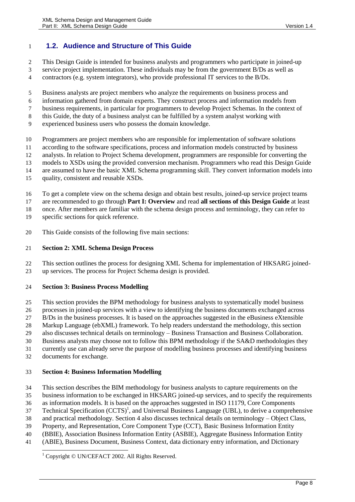## <span id="page-7-0"></span>**1.2. Audience and Structure of This Guide**

- This Design Guide is intended for business analysts and programmers who participate in joined-up
- service project implementation. These individuals may be from the government B/Ds as well as
- contractors (e.g. system integrators), who provide professional IT services to the B/Ds.
- Business analysts are project members who analyze the requirements on business process and
- information gathered from domain experts. They construct process and information models from
- business requirements, in particular for programmers to develop Project Schemas. In the context of
- this Guide, the duty of a business analyst can be fulfilled by a system analyst working with
- experienced business users who possess the domain knowledge.
- Programmers are project members who are responsible for implementation of software solutions
- according to the software specifications, process and information models constructed by business
- analysts. In relation to Project Schema development, programmers are responsible for converting the
- models to XSDs using the provided conversion mechanism. Programmers who read this Design Guide
- are assumed to have the basic XML Schema programming skill. They convert information models into
- quality, consistent and reusable XSDs.
- To get a complete view on the schema design and obtain best results, joined-up service project teams
- are recommended to go through **Part I: Overview** and read **all sections of this Design Guide** at least
- once. After members are familiar with the schema design process and terminology, they can refer to
- specific sections for quick reference.
- This Guide consists of the following five main sections:

### **Section 2: XML Schema Design Process**

 This section outlines the process for designing XML Schema for implementation of HKSARG joined-up services. The process for Project Schema design is provided.

### **Section 3: Business Process Modelling**

- This section provides the BPM methodology for business analysts to systematically model business
- processes in joined-up services with a view to identifying the business documents exchanged across
- B/Ds in the business processes. It is based on the approaches suggested in the eBusiness eXtensible
- Markup Language (ebXML) framework. To help readers understand the methodology, this section
- also discusses technical details on terminology Business Transaction and Business Collaboration.
- Business analysts may choose not to follow this BPM methodology if the SA&D methodologies they
- currently use can already serve the purpose of modelling business processes and identifying business
- documents for exchange.

### **Section 4: Business Information Modelling**

- This section describes the BIM methodology for business analysts to capture requirements on the
- business information to be exchanged in HKSARG joined-up services, and to specify the requirements
- as information models. It is based on the approaches suggested in ISO 11179, Core Components
- Technical Specification  $(CCTS)^1$ , and Universal Business Language (UBL), to derive a comprehensive
- and practical methodology. Section 4 also discusses technical details on terminology Object Class,
- Property, and Representation, Core Component Type (CCT), Basic Business Information Entity
- (BBIE), Association Business Information Entity (ASBIE), Aggregate Business Information Entity
- (ABIE), Business Document, Business Context, data dictionary entry information, and Dictionary

#### $\overline{\phantom{a}}$ <sup>1</sup> Copyright © UN/CEFACT 2002. All Rights Reserved.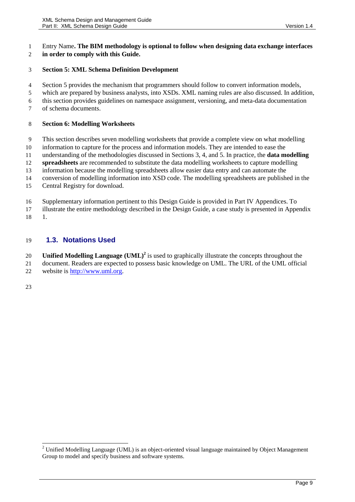#### Entry Name**. The BIM methodology is optional to follow when designing data exchange interfaces in order to comply with this Guide.**

### **Section 5: XML Schema Definition Development**

- Section 5 provides the mechanism that programmers should follow to convert information models,
- which are prepared by business analysts, into XSDs. XML naming rules are also discussed. In addition,
- this section provides guidelines on namespace assignment, versioning, and meta-data documentation
- of schema documents.

### **Section 6: Modelling Worksheets**

- This section describes seven modelling worksheets that provide a complete view on what modelling
- information to capture for the process and information models. They are intended to ease the
- understanding of the methodologies discussed in Sections 3, 4, and 5. In practice, the **data modelling**
- **spreadsheets** are recommended to substitute the data modelling worksheets to capture modelling
- information because the modelling spreadsheets allow easier data entry and can automate the
- conversion of modelling information into XSD code. The modelling spreadsheets are published in the
- Central Registry for download.
- Supplementary information pertinent to this Design Guide is provided in Part IV Appendices. To
- illustrate the entire methodology described in the Design Guide, a case study is presented in Appendix 1.

### <span id="page-8-0"></span>**1.3. Notations Used**

- 20 **Unified Modelling Language (UML)<sup>2</sup>** is used to graphically illustrate the concepts throughout the
- document. Readers are expected to possess basic knowledge on UML. The URL of the UML official website is [http://www.uml.org.](http://www.uml.org/)

<sup>&</sup>lt;sup>2</sup> Unified Modelling Language (UML) is an object-oriented visual language maintained by Object Management Group to model and specify business and software systems.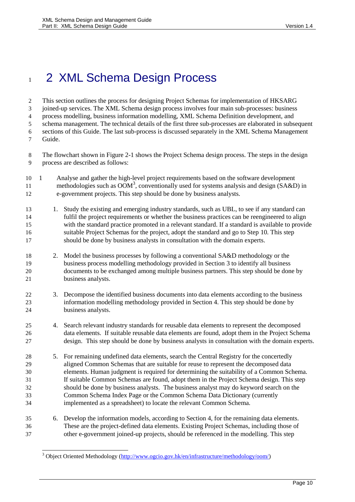# <span id="page-9-0"></span>1 2 XML Schema Design Process

 This section outlines the process for designing Project Schemas for implementation of HKSARG joined-up services. The XML Schema design process involves four main sub-processes: business process modelling, business information modelling, XML Schema Definition development, and schema management. The technical details of the first three sub-processes are elaborated in subsequent sections of this Guide. The last sub-process is discussed separately in the XML Schema Management Guide.

 The flowchart shown in [Figure 2-1](#page-11-0) shows the Project Schema design process. The steps in the design process are described as follows:

- 1 Analyse and gather the high-level project requirements based on the software development 11 methodologies such as  $\overrightarrow{OM}^3$ , conventionally used for systems analysis and design (SA&D) in e-government projects. This step should be done by business analysts.
- 13 1. Study the existing and emerging industry standards, such as UBL, to see if any standard can fulfil the project requirements or whether the business practices can be reengineered to align with the standard practice promoted in a relevant standard. If a standard is available to provide suitable Project Schemas for the project, adopt the standard and go to Step 10. This step should be done by business analysts in consultation with the domain experts.
- 2. Model the business processes by following a conventional SA&D methodology or the business process modelling methodology provided in Section [3](#page-12-1) to identify all business documents to be exchanged among multiple business partners. This step should be done by business analysts.
- 3. Decompose the identified business documents into data elements according to the business information modelling methodology provided in Sectio[n 4.](#page-20-1) This step should be done by business analysts.
- 4. Search relevant industry standards for reusable data elements to represent the decomposed data elements. If suitable reusable data elements are found, adopt them in the Project Schema design. This step should be done by business analysts in consultation with the domain experts.
- 5. For remaining undefined data elements, search the Central Registry for the concertedly aligned Common Schemas that are suitable for reuse to represent the decomposed data elements. Human judgment is required for determining the suitability of a Common Schema. If suitable Common Schemas are found, adopt them in the Project Schema design. This step should be done by business analysts. The business analyst may do keyword search on the Common Schema Index Page or the Common Schema Data Dictionary (currently implemented as a spreadsheet) to locate the relevant Common Schema.
- 6. Develop the information models, according to Section [4,](#page-20-1) for the remaining data elements. These are the project-defined data elements. Existing Project Schemas, including those of other e-government joined-up projects, should be referenced in the modelling. This step

<sup>&</sup>lt;sup>3</sup> Object Oriented Methodology [\(http://www.ogcio.gov.hk/en/infrastructure/methodology/oom/\)](http://www.ogcio.gov.hk/en/infrastructure/methodology/oom/)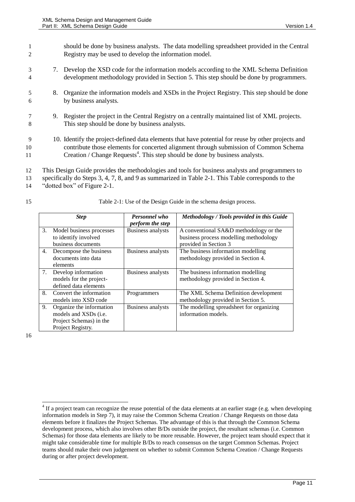|               | should be done by business analysts. The data modelling spreadsheet provided in the Central<br>Registry may be used to develop the information model.                                                                                                                                   |
|---------------|-----------------------------------------------------------------------------------------------------------------------------------------------------------------------------------------------------------------------------------------------------------------------------------------|
| 3<br>4        | 7. Develop the XSD code for the information models according to the XML Schema Definition<br>development methodology provided in Section 5. This step should be done by programmers.                                                                                                    |
| 5<br>6        | 8. Organize the information models and XSDs in the Project Registry. This step should be done<br>by business analysts.                                                                                                                                                                  |
| 8             | 9. Register the project in the Central Registry on a centrally maintained list of XML projects.<br>This step should be done by business analysts.                                                                                                                                       |
| 9<br>10<br>11 | 10. Identify the project-defined data elements that have potential for reuse by other projects and<br>contribute those elements for concerted alignment through submission of Common Schema<br>Creation / Change Requests <sup>4</sup> . This step should be done by business analysts. |

- 12 This Design Guide provides the methodologies and tools for business analysts and programmers to
- 13 specifically do Steps 3, 4, 7, 8, and 9 as summarized in [Table 2-1.](#page-10-0) This Table corresponds to the 14 "dotted box" of [Figure 2-1.](#page-11-0)
- 

15 Table 2-1: Use of the Design Guide in the schema design process.

<span id="page-10-0"></span>

|    | <b>Step</b>                                                                                               | <b>Personnel who</b>     | Methodology / Tools provided in this Guide                                       |
|----|-----------------------------------------------------------------------------------------------------------|--------------------------|----------------------------------------------------------------------------------|
|    |                                                                                                           | <i>perform the step</i>  |                                                                                  |
| 3. | Model business processes<br>to identify involved                                                          | <b>Business analysts</b> | A conventional SA&D methodology or the<br>business process modelling methodology |
|    | business documents                                                                                        |                          | provided in Section 3                                                            |
| 4. | Decompose the business<br>documents into data<br>elements                                                 | Business analysts        | The business information modelling<br>methodology provided in Section 4.         |
| 7. | Develop information<br>models for the project-<br>defined data elements                                   | <b>Business analysts</b> | The business information modelling<br>methodology provided in Section 4.         |
| 8. | Convert the information<br>models into XSD code                                                           | Programmers              | The XML Schema Definition development<br>methodology provided in Section 5.      |
| 9. | Organize the information<br>models and XSDs ( <i>i.e.</i><br>Project Schemas) in the<br>Project Registry. | <b>Business analysts</b> | The modelling spreadsheet for organizing<br>information models.                  |

16

 $4$  If a project team can recognize the reuse potential of the data elements at an earlier stage (e.g. when developing information models in Step 7), it may raise the Common Schema Creation / Change Requests on those data elements before it finalizes the Project Schemas. The advantage of this is that through the Common Schema development process, which also involves other B/Ds outside the project, the resultant schemas (i.e. Common Schemas) for those data elements are likely to be more reusable. However, the project team should expect that it might take considerable time for multiple B/Ds to reach consensus on the target Common Schemas. Project teams should make their own judgement on whether to submit Common Schema Creation / Change Requests during or after project development.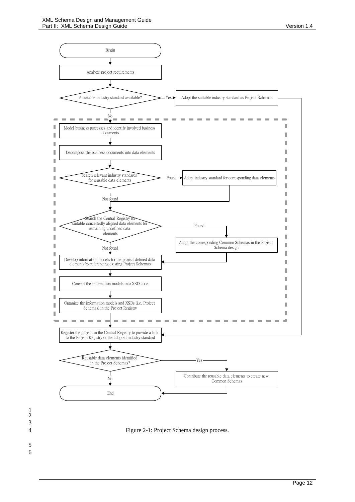

<span id="page-11-0"></span>4 Figure 2-1: Project Schema design process.

- 1  $\overline{2}$ 3 5
- 6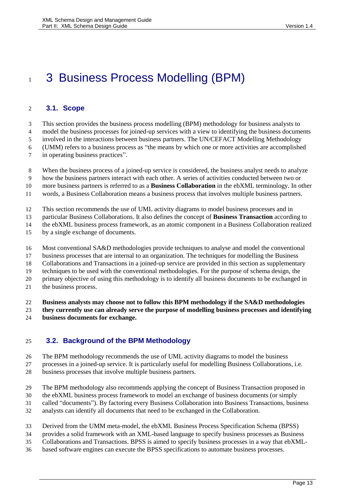# <span id="page-12-1"></span>1 3 Business Process Modelling (BPM)

## <span id="page-12-0"></span>**3.1. Scope**

This section provides the business process modelling (BPM) methodology for business analysts to

model the business processes for joined-up services with a view to identifying the business documents

involved in the interactions between business partners. The UN/CEFACT Modelling Methodology

(UMM) refers to a business process as "the means by which one or more activities are accomplished

in operating business practices".

When the business process of a joined-up service is considered, the business analyst needs to analyze

how the business partners interact with each other. A series of activities conducted between two or

more business partners is referred to as a **Business Collaboration** in the ebXML terminology. In other

words, a Business Collaboration means a business process that involves multiple business partners.

This section recommends the use of UML activity diagrams to model business processes and in

particular Business Collaborations. It also defines the concept of **Business Transaction** according to

the ebXML business process framework, as an atomic component in a Business Collaboration realized

by a single exchange of documents.

Most conventional SA&D methodologies provide techniques to analyse and model the conventional

business processes that are internal to an organization. The techniques for modelling the Business

Collaborations and Transactions in a joined-up service are provided in this section as supplementary

techniques to be used with the conventional methodologies. For the purpose of schema design, the

primary objective of using this methodology is to identify all business documents to be exchanged in

the business process.

**Business analysts may choose not to follow this BPM methodology if the SA&D methodologies** 

 **they currently use can already serve the purpose of modelling business processes and identifying business documents for exchange.**

## <span id="page-12-2"></span>**3.2. Background of the BPM Methodology**

The BPM methodology recommends the use of UML activity diagrams to model the business

 processes in a joined-up service. It is particularly useful for modelling Business Collaborations, i.e. business processes that involve multiple business partners.

The BPM methodology also recommends applying the concept of Business Transaction proposed in

the ebXML business process framework to model an exchange of business documents (or simply

called "documents"). By factoring every Business Collaboration into Business Transactions, business

analysts can identify all documents that need to be exchanged in the Collaboration.

Derived from the UMM meta-model, the ebXML Business Process Specification Schema (BPSS)

provides a solid framework with an XML-based language to specify business processes as Business

Collaborations and Transactions. BPSS is aimed to specify business processes in a way that ebXML-

based software engines can execute the BPSS specifications to automate business processes.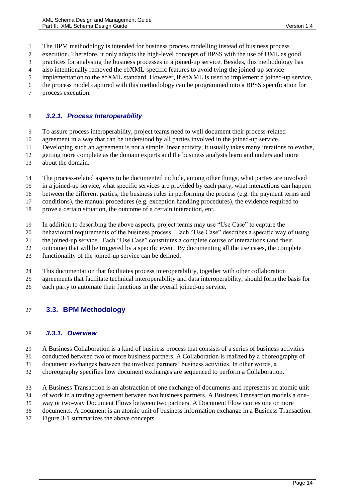The BPM methodology is intended for business process modelling instead of business process

- execution. Therefore, it only adopts the high-level concepts of BPSS with the use of UML as good
- practices for analysing the business processes in a joined-up service. Besides, this methodology has
- also intentionally removed the ebXML-specific features to avoid tying the joined-up service
- implementation to the ebXML standard. However, if ebXML is used to implement a joined-up service,
- the process model captured with this methodology can be programmed into a BPSS specification for
- process execution.

### <span id="page-13-0"></span>*3.2.1. Process Interoperability*

- To assure process interoperability, project teams need to well document their process-related
- agreement in a way that can be understood by all parties involved in the joined-up service.
- Developing such an agreement is not a simple linear activity, it usually takes many iterations to evolve,
- getting more complete as the domain experts and the business analysts learn and understand more
- about the domain.
- The process-related aspects to be documented include, among other things, what parties are involved
- in a joined-up service, what specific services are provided by each party, what interactions can happen
- between the different parties, the business rules in performing the process (e.g. the payment terms and
- conditions), the manual procedures (e.g. exception handling procedures), the evidence required to
- prove a certain situation, the outcome of a certain interaction, etc.
- In addition to describing the above aspects, project teams may use "Use Case" to capture the
- behavioural requirements of the business process. Each "Use Case" describes a specific way of using
- the joined-up service. Each "Use Case" constitutes a complete course of interactions (and their
- outcome) that will be triggered by a specific event. By documenting all the use cases, the complete
- functionality of the joined-up service can be defined.
- This documentation that facilitates process interoperability, together with other collaboration
- agreements that facilitate technical interoperability and data interoperability, should form the basis for
- each party to automate their functions in the overall joined-up service.

### <span id="page-13-1"></span>**3.3. BPM Methodology**

### <span id="page-13-2"></span>*3.3.1. Overview*

- A Business Collaboration is a kind of business process that consists of a series of business activities
- conducted between two or more business partners. A Collaboration is realized by a choreography of
- document exchanges between the involved partners' business activities. In other words, a
- choreography specifies how document exchanges are sequenced to perform a Collaboration.
- A Business Transaction is an abstraction of one exchange of documents and represents an atomic unit
- of work in a trading agreement between two business partners. A Business Transaction models a one-
- way or two-way Document Flows between two partners. A Document Flow carries one or more
- documents. A document is an atomic unit of business information exchange in a Business Transaction.
- [Figure 3-1](#page-14-1) summarizes the above concepts.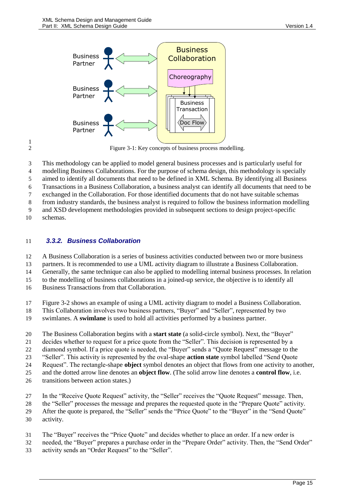

Figure 3-1: Key concepts of business process modelling.

This methodology can be applied to model general business processes and is particularly useful for

modelling Business Collaborations. For the purpose of schema design, this methodology is specially

aimed to identify all documents that need to be defined in XML Schema. By identifying all Business

Transactions in a Business Collaboration, a business analyst can identify all documents that need to be

exchanged in the Collaboration. For those identified documents that do not have suitable schemas

from industry standards, the business analyst is required to follow the business information modelling

and XSD development methodologies provided in subsequent sections to design project-specific

schemas.

<span id="page-14-1"></span> $\frac{1}{2}$ 

### <span id="page-14-0"></span>*3.3.2. Business Collaboration*

A Business Collaboration is a series of business activities conducted between two or more business

partners. It is recommended to use a UML activity diagram to illustrate a Business Collaboration.

Generally, the same technique can also be applied to modelling internal business processes. In relation

to the modelling of business collaborations in a joined-up service, the objective is to identify all

Business Transactions from that Collaboration.

[Figure 3-2](#page-16-1) shows an example of using a UML activity diagram to model a Business Collaboration.

- This Collaboration involves two business partners, "Buyer" and "Seller", represented by two
- swimlanes. A **swimlane** is used to hold all activities performed by a business partner.

The Business Collaboration begins with a **start state** (a solid-circle symbol). Next, the "Buyer"

decides whether to request for a price quote from the "Seller". This decision is represented by a

diamond symbol. If a price quote is needed, the "Buyer" sends a "Quote Request" message to the

"Seller". This activity is represented by the oval-shape **action state** symbol labelled "Send Quote

Request". The rectangle-shape **object** symbol denotes an object that flows from one activity to another,

and the dotted arrow line denotes an **object flow**. (The solid arrow line denotes a **control flow**, i.e.

transitions between action states.)

In the "Receive Quote Request" activity, the "Seller" receives the "Quote Request" message. Then,

- the "Seller" processes the message and prepares the requested quote in the "Prepare Quote" activity.
- After the quote is prepared, the "Seller" sends the "Price Quote" to the "Buyer" in the "Send Quote"
- activity.
- The "Buyer" receives the "Price Quote" and decides whether to place an order. If a new order is
- needed, the "Buyer" prepares a purchase order in the "Prepare Order" activity. Then, the "Send Order"
- activity sends an "Order Request" to the "Seller".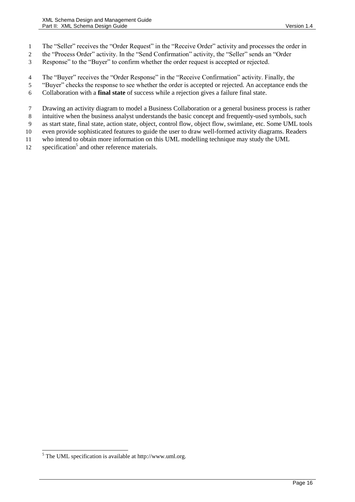- The "Seller" receives the "Order Request" in the "Receive Order" activity and processes the order in
- the "Process Order" activity. In the "Send Confirmation" activity, the "Seller" sends an "Order
- Response" to the "Buyer" to confirm whether the order request is accepted or rejected.
- The "Buyer" receives the "Order Response" in the "Receive Confirmation" activity. Finally, the
- "Buyer" checks the response to see whether the order is accepted or rejected. An acceptance ends the
- Collaboration with a **final state** of success while a rejection gives a failure final state.
- Drawing an activity diagram to model a Business Collaboration or a general business process is rather
- intuitive when the business analyst understands the basic concept and frequently-used symbols, such
- as start state, final state, action state, object, control flow, object flow, swimlane, etc. Some UML tools
- even provide sophisticated features to guide the user to draw well-formed activity diagrams. Readers
- who intend to obtain more information on this UML modelling technique may study the UML
- 12 specification<sup>5</sup> and other reference materials.

 $<sup>5</sup>$  The UML specification is available at http://www.uml.org.</sup>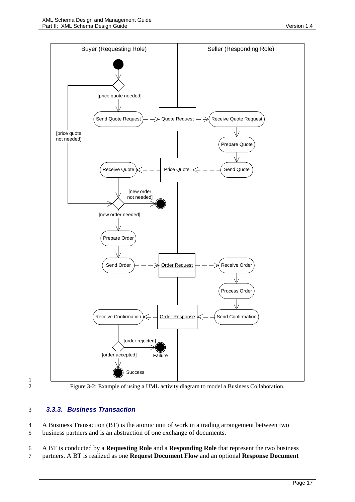

1

<span id="page-16-1"></span>2 Figure 3-2: Example of using a UML activity diagram to model a Business Collaboration.

### <span id="page-16-0"></span>3 *3.3.3. Business Transaction*

4 A Business Transaction (BT) is the atomic unit of work in a trading arrangement between two 5 business partners and is an abstraction of one exchange of documents.

6 A BT is conducted by a **Requesting Role** and a **Responding Role** that represent the two business

7 partners. A BT is realized as one **Request Document Flow** and an optional **Response Document**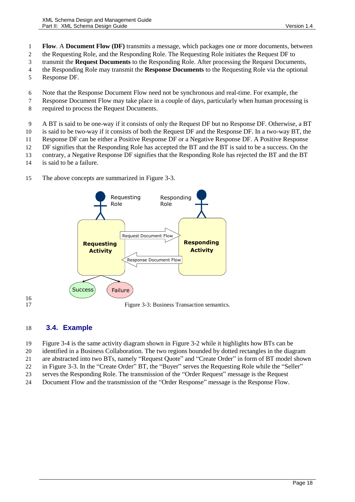- 1 **Flow**. A **Document Flow (DF)** transmits a message, which packages one or more documents, between
- 2 the Requesting Role, and the Responding Role. The Requesting Role initiates the Request DF to
- 3 transmit the **Request Documents** to the Responding Role. After processing the Request Documents,
- 4 the Responding Role may transmit the **Response Documents** to the Requesting Role via the optional
- 5 Response DF.
- 6 Note that the Response Document Flow need not be synchronous and real-time. For example, the
- 7 Response Document Flow may take place in a couple of days, particularly when human processing is
- 8 required to process the Request Documents.
- 9 A BT is said to be one-way if it consists of only the Request DF but no Response DF. Otherwise, a BT
- 10 is said to be two-way if it consists of both the Request DF and the Response DF. In a two-way BT, the
- 11 Response DF can be either a Positive Response DF or a Negative Response DF. A Positive Response
- 12 DF signifies that the Responding Role has accepted the BT and the BT is said to be a success. On the
- 13 contrary, a Negative Response DF signifies that the Responding Role has rejected the BT and the BT
- 14 is said to be a failure.
- 15 The above concepts are summarized in [Figure 3-3.](#page-17-1)



<span id="page-17-1"></span> $\frac{16}{17}$ 

Figure 3-3: Business Transaction semantics.

## <span id="page-17-0"></span>18 **3.4. Example**

- 19 [Figure 3-4](#page-18-0) is the same activity diagram shown i[n Figure 3-2](#page-16-1) while it highlights how BTs can be
- 20 identified in a Business Collaboration. The two regions bounded by dotted rectangles in the diagram
- 21 are abstracted into two BTs, namely "Request Quote" and "Create Order" in form of BT model shown
- 22 in [Figure 3-3.](#page-17-1) In the "Create Order" BT, the "Buyer" serves the Requesting Role while the "Seller"
- 23 serves the Responding Role. The transmission of the "Order Request" message is the Request
- 24 Document Flow and the transmission of the "Order Response" message is the Response Flow.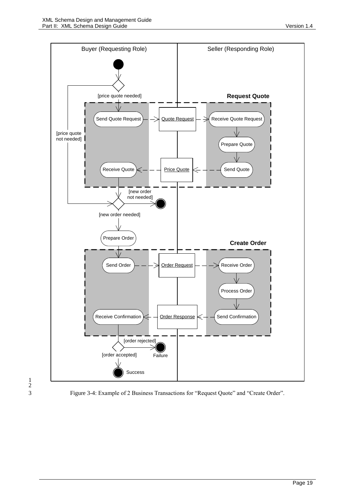



<span id="page-18-0"></span>3 Figure 3-4: Example of 2 Business Transactions for "Request Quote" and "Create Order".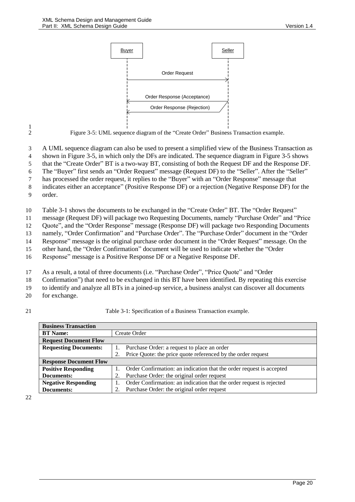

<span id="page-19-0"></span> $\frac{1}{2}$ 

2 Figure 3-5: UML sequence diagram of the "Create Order" Business Transaction example.

3 A UML sequence diagram can also be used to present a simplified view of the Business Transaction as

4 shown i[n Figure 3-5,](#page-19-0) in which only the DFs are indicated. The sequence diagram in [Figure 3-5](#page-19-0) shows

5 that the "Create Order" BT is a two-way BT, consisting of both the Request DF and the Response DF.

6 The "Buyer" first sends an "Order Request" message (Request DF) to the "Seller". After the "Seller"

7 has processed the order request, it replies to the "Buyer" with an "Order Response" message that

8 indicates either an acceptance" (Positive Response DF) or a rejection (Negative Response DF) for the

9 order.

10 [Table 3-1](#page-19-1) shows the documents to be exchanged in the "Create Order" BT. The "Order Request"

11 message (Request DF) will package two Requesting Documents, namely "Purchase Order" and "Price

12 Quote", and the "Order Response" message (Response DF) will package two Responding Documents

13 namely, "Order Confirmation" and "Purchase Order". The "Purchase Order" document in the "Order 14 Response" message is the original purchase order document in the "Order Request" message. On the

15 other hand, the "Order Confirmation" document will be used to indicate whether the "Order

16 Response" message is a Positive Response DF or a Negative Response DF.

17 As a result, a total of three documents (i.e. "Purchase Order", "Price Quote" and "Order

18 Confirmation") that need to be exchanged in this BT have been identified. By repeating this exercise

19 to identify and analyze all BTs in a joined-up service, a business analyst can discover all documents

- 20 for exchange.
- <span id="page-19-1"></span>

21 Table 3-1: Specification of a Business Transaction example.

| <b>Business Transaction</b>                                                                        |                                             |                                                                      |  |  |  |
|----------------------------------------------------------------------------------------------------|---------------------------------------------|----------------------------------------------------------------------|--|--|--|
| <b>BT</b> Name:                                                                                    |                                             | Create Order                                                         |  |  |  |
| <b>Request Document Flow</b>                                                                       |                                             |                                                                      |  |  |  |
| <b>Requesting Documents:</b>                                                                       | Purchase Order: a request to place an order |                                                                      |  |  |  |
|                                                                                                    |                                             | Price Quote: the price quote referenced by the order request         |  |  |  |
| <b>Response Document Flow</b>                                                                      |                                             |                                                                      |  |  |  |
| <b>Positive Responding</b>                                                                         |                                             | Order Confirmation: an indication that the order request is accepted |  |  |  |
| Documents:                                                                                         |                                             | Purchase Order: the original order request                           |  |  |  |
| Order Confirmation: an indication that the order request is rejected<br><b>Negative Responding</b> |                                             |                                                                      |  |  |  |
| Documents:                                                                                         |                                             | Purchase Order: the original order request                           |  |  |  |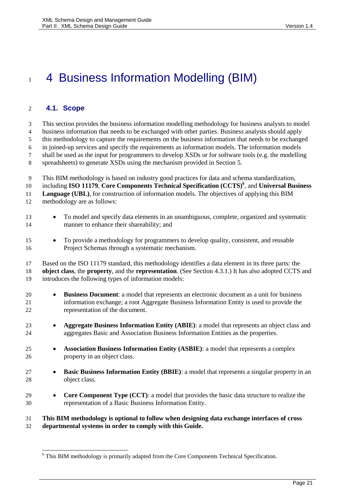# <span id="page-20-1"></span>1 4 Business Information Modelling (BIM)

### <span id="page-20-0"></span>**4.1. Scope**

 $\overline{\phantom{a}}$ 

 This section provides the business information modelling methodology for business analysts to model business information that needs to be exchanged with other parties. Business analysts should apply this methodology to capture the requirements on the business information that needs to be exchanged in joined-up services and specify the requirements as information models. The information models shall be used as the input for programmers to develop XSDs or for software tools (e.g. the modelling spreadsheets) to generate XSDs using the mechanism provided in Section [5.](#page-39-1) This BIM methodology is based on industry good practices for data and schema standardization, including **ISO 11179**, **Core Components Technical Specification (CCTS)<sup>6</sup>** , and **Universal Business Language (UBL)**, for construction of information models. The objectives of applying this BIM methodology are as follows: 13 • To model and specify data elements in an unambiguous, complete, organized and systematic manner to enhance their shareability; and To provide a methodology for programmers to develop quality, consistent, and reusable Project Schemas through a systematic mechanism. Based on the ISO 11179 standard, this methodology identifies a data element in its three parts: the **object class**, the **property**, and the **representation**. (See Section [4.3.1.](#page-23-1)) It has also adopted CCTS and introduces the following types of information models: **Business Document**: a model that represents an electronic document as a unit for business information exchange; a root Aggregate Business Information Entity is used to provide the representation of the document. **Aggregate Business Information Entity (ABIE)**: a model that represents an object class and aggregates Basic and Association Business Information Entities as the properties. **Association Business Information Entity (ASBIE)**: a model that represents a complex property in an object class. **Basic Business Information Entity (BBIE)**: a model that represents a singular property in an object class. **• Core Component Type (CCT)**: a model that provides the basic data structure to realize the representation of a Basic Business Information Entity. **This BIM methodology is optional to follow when designing data exchange interfaces of cross departmental systems in order to comply with this Guide.**

This BIM methodology is primarily adapted from the Core Components Technical Specification.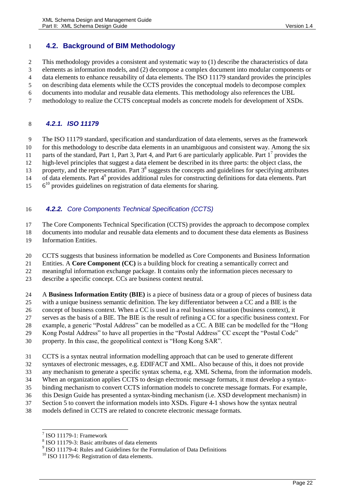## <span id="page-21-0"></span>**4.2. Background of BIM Methodology**

This methodology provides a consistent and systematic way to (1) describe the characteristics of data

elements as information models, and (2) decompose a complex document into modular components or

data elements to enhance reusability of data elements. The ISO 11179 standard provides the principles

on describing data elements while the CCTS provides the conceptual models to decompose complex

documents into modular and reusable data elements. This methodology also references the UBL

methodology to realize the CCTS conceptual models as concrete models for development of XSDs.

### <span id="page-21-1"></span>*4.2.1. ISO 11179*

 The ISO 11179 standard, specification and standardization of data elements, serves as the framework for this methodology to describe data elements in an unambiguous and consistent way. Among the six 11 parts of the standard, Part 1, Part 3, Part 4, and Part 6 are particularly applicable. Part  $1^7$  provides the

high-level principles that suggest a data element be described in its three parts: the object class, the

13 property, and the representation. Part  $3<sup>8</sup>$  suggests the concepts and guidelines for specifying attributes

14 of data elements. Part 4<sup>9</sup> provides additional rules for constructing definitions for data elements. Part

6<sup>10</sup> provides guidelines on registration of data elements for sharing.

### <span id="page-21-2"></span>*4.2.2. Core Components Technical Specification (CCTS)*

The Core Components Technical Specification (CCTS) provides the approach to decompose complex

documents into modular and reusable data elements and to document these data elements as Business

Information Entities.

CCTS suggests that business information be modelled as Core Components and Business Information

Entities. A **Core Component (CC)** is a building block for creating a semantically correct and

meaningful information exchange package. It contains only the information pieces necessary to

describe a specific concept. CCs are business context neutral.

 A **Business Information Entity (BIE)** is a piece of business data or a group of pieces of business data with a unique business semantic definition. The key differentiator between a CC and a BIE is the

concept of business context. When a CC is used in a real business situation (business context), it

serves as the basis of a BIE. The BIE is the result of refining a CC for a specific business context. For

example, a generic "Postal Address" can be modelled as a CC. A BIE can be modelled for the "Hong

Kong Postal Address" to have all properties in the "Postal Address" CC except the "Postal Code"

property. In this case, the geopolitical context is "Hong Kong SAR".

CCTS is a syntax neutral information modelling approach that can be used to generate different

syntaxes of electronic messages, e.g. EDIFACT and XML. Also because of this, it does not provide

any mechanism to generate a specific syntax schema, e.g. XML Schema, from the information models.

When an organization applies CCTS to design electronic message formats, it must develop a syntax-

binding mechanism to convert CCTS information models to concrete message formats. For example,

this Design Guide has presented a syntax-binding mechanism (i.e. XSD development mechanism) in

Sectio[n 5](#page-39-1) to convert the information models into XSDs. [Figure 4-1](#page-22-1) shows how the syntax neutral

models defined in CCTS are related to concrete electronic message formats.

<sup>9</sup> ISO 11179-4: Rules and Guidelines for the Formulation of Data Definitions

 7 ISO 11179-1: Framework

<sup>&</sup>lt;sup>8</sup> ISO 11179-3: Basic attributes of data elements

<sup>&</sup>lt;sup>10</sup> ISO 11179-6: Registration of data elements.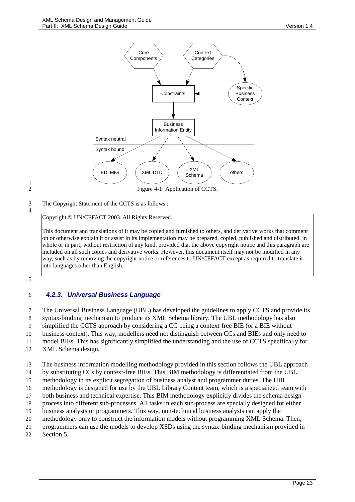

# <span id="page-22-1"></span> $\frac{1}{2}$

3 The Copyright Statement of the CCTS is as follows :

4

Copyright © UN/CEFACT 2003. All Rights Reserved.

This document and translations of it may be copied and furnished to others, and derivative works that comment on or otherwise explain it or assist in its implementation may be prepared, copied, published and distributed, in whole or in part, without restriction of any kind, provided that the above copyright notice and this paragraph are included on all such copies and derivative works. However, this document itself may not be modified in any way, such as by removing the copyright notice or references to UN/CEFACT except as required to translate it into languages other than English.

<span id="page-22-0"></span>5

### 6 *4.2.3. Universal Business Language*

7 The Universal Business Language (UBL) has developed the guidelines to apply CCTS and provide its 8 syntax-binding mechanism to produce its XML Schema library. The UBL methodology has also 9 simplified the CCTS approach by considering a CC being a context-free BIE (or a BIE without

10 business context). This way, modellers need not distinguish between CCs and BIEs and only need to

11 model BIEs. This has significantly simplified the understanding and the use of CCTS specifically for

- 12 XML Schema design.
- 13 The business information modelling methodology provided in this section follows the UBL approach
- 14 by substituting CCs by context-free BIEs. This BIM methodology is differentiated from the UBL
- 15 methodology in its explicit segregation of business analyst and programmer duties. The UBL
- 16 methodology is designed for use by the UBL Library Content team, which is a specialized team with
- 17 both business and technical expertise. This BIM methodology explicitly divides the schema design
- 18 process into different sub-processes. All tasks in each sub-process are specially designed for either
- 19 business analysts or programmers. This way, non-technical business analysts can apply the
- 20 methodology only to construct the information models without programming XML Schema. Then,
- 21 programmers can use the models to develop XSDs using the syntax-binding mechanism provided in 22 Sectio[n 5.](#page-39-1)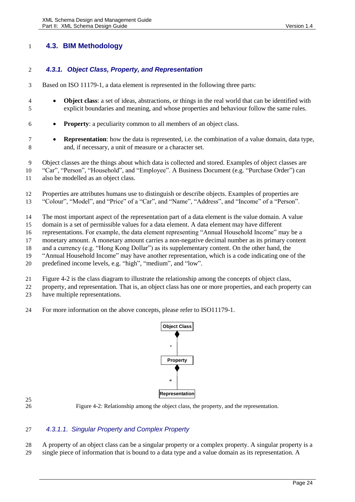## <span id="page-23-0"></span>**4.3. BIM Methodology**

### <span id="page-23-1"></span>*4.3.1. Object Class, Property, and Representation*

- Based on ISO 11179-1, a data element is represented in the following three parts:
- **Object class**: a set of ideas, abstractions, or things in the real world that can be identified with explicit boundaries and meaning, and whose properties and behaviour follow the same rules.
- **Property**: a peculiarity common to all members of an object class.
- **Representation**: how the data is represented, i.e. the combination of a value domain, data type, and, if necessary, a unit of measure or a character set.

 Object classes are the things about which data is collected and stored. Examples of object classes are "Car", "Person", "Household", and "Employee". A Business Document (e.g. "Purchase Order") can

also be modelled as an object class.

- Properties are attributes humans use to distinguish or describe objects. Examples of properties are
- "Colour", "Model", and "Price" of a "Car", and "Name", "Address", and "Income" of a "Person".
- The most important aspect of the representation part of a data element is the value domain. A value
- domain is a set of permissible values for a data element. A data element may have different
- representations. For example, the data element representing "Annual Household Income" may be a
- monetary amount. A monetary amount carries a non-negative decimal number as its primary content
- and a currency (e.g. "Hong Kong Dollar") as its supplementary content. On the other hand, the
- "Annual Household Income" may have another representation, which is a code indicating one of the
- predefined income levels, e.g. "high", "medium", and "low".
- [Figure 4-2](#page-23-2) is the class diagram to illustrate the relationship among the concepts of object class,
- property, and representation. That is, an object class has one or more properties, and each property can have multiple representations.
- For more information on the above concepts, please refer to ISO11179-1.



<span id="page-23-2"></span>Figure 4-2: Relationship among the object class, the property, and the representation.

### *4.3.1.1. Singular Property and Complex Property*

A property of an object class can be a singular property or a complex property. A singular property is a

single piece of information that is bound to a data type and a value domain as its representation. A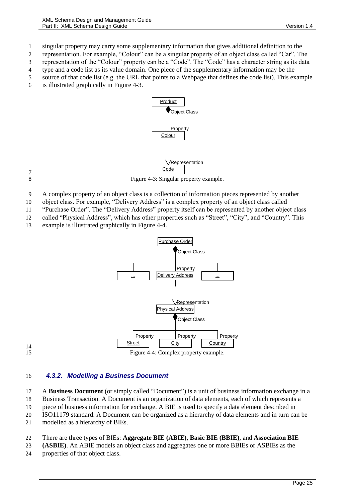1 singular property may carry some supplementary information that gives additional definition to the

2 representation. For example, "Colour" can be a singular property of an object class called "Car". The 3 representation of the "Colour" property can be a "Code". The "Code" has a character string as its data

4 type and a code list as its value domain. One piece of the supplementary information may be the

- 5 source of that code list (e.g. the URL that points to a Webpage that defines the code list). This example
- 6 is illustrated graphically in [Figure 4-3.](#page-24-1)



<span id="page-24-1"></span> $\begin{array}{c} 7 \\ 8 \end{array}$ 

Figure 4-3: Singular property example.

- 9 A complex property of an object class is a collection of information pieces represented by another
- 10 object class. For example, "Delivery Address" is a complex property of an object class called
- 11 "Purchase Order". The "Delivery Address" property itself can be represented by another object class

12 called "Physical Address", which has other properties such as "Street", "City", and "Country". This

13 example is illustrated graphically in [Figure 4-4.](#page-24-2)



14

<span id="page-24-2"></span>15 Figure 4-4: Complex property example.

### <span id="page-24-0"></span>16 *4.3.2. Modelling a Business Document*

17 A **Business Document** (or simply called "Document") is a unit of business information exchange in a

18 Business Transaction. A Document is an organization of data elements, each of which represents a

19 piece of business information for exchange. A BIE is used to specify a data element described in

20 ISO11179 standard. A Document can be organized as a hierarchy of data elements and in turn can be

21 modelled as a hierarchy of BIEs.

### 22 There are three types of BIEs: **Aggregate BIE (ABIE)**, **Basic BIE (BBIE)**, and **Association BIE**

- 23 **(ASBIE)**. An ABIE models an object class and aggregates one or more BBIEs or ASBIEs as the
- 24 properties of that object class.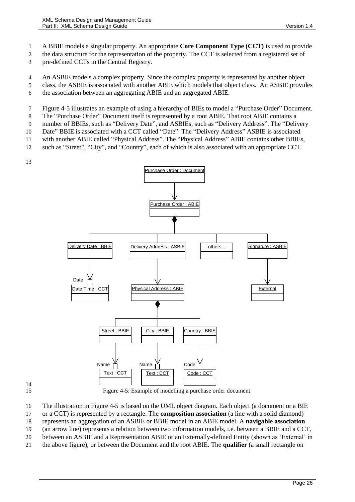A BBIE models a singular property. An appropriate **Core Component Type (CCT)** is used to provide

the data structure for the representation of the property. The CCT is selected from a registered set of

pre-defined CCTs in the Central Registry.

An ASBIE models a complex property. Since the complex property is represented by another object

class, the ASBIE is associated with another ABIE which models that object class. An ASBIE provides

the association between an aggregating ABIE and an aggregated ABIE.

[Figure 4-5](#page-25-0) illustrates an example of using a hierarchy of BIEs to model a "Purchase Order" Document.

The "Purchase Order" Document itself is represented by a root ABIE. That root ABIE contains a

number of BBIEs, such as "Delivery Date", and ASBIEs, such as "Delivery Address". The "Delivery

Date" BBIE is associated with a CCT called "Date". The "Delivery Address" ASBIE is associated

with another ABIE called "Physical Address". The "Physical Address" ABIE contains other BBIEs,

such as "Street", "City", and "Country", each of which is also associated with an appropriate CCT.



# 

<span id="page-25-0"></span>Figure 4-5: Example of modelling a purchase order document.

The illustration in [Figure 4-5](#page-25-0) is based on the UML object diagram. Each object (a document or a BIE

or a CCT) is represented by a rectangle. The **composition association** (a line with a solid diamond)

represents an aggregation of an ASBIE or BBIE model in an ABIE model. A **navigable association** 

 (an arrow line) represents a relation between two information models, i.e. between a BBIE and a CCT, between an ASBIE and a Representation ABIE or an Externally-defined Entity (shown as 'External' in

the above figure), or between the Document and the root ABIE. The **qualifier** (a small rectangle on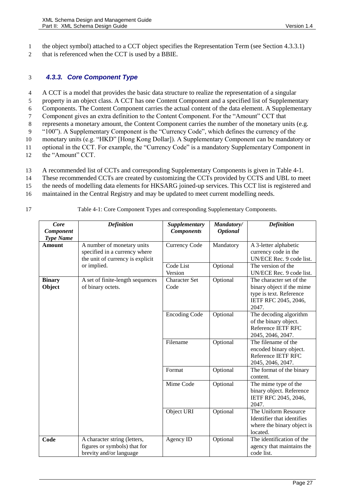1 the object symbol) attached to a CCT object specifies the Representation Term (see Sectio[n 4.3.3.1\)](#page-28-0)

2 that is referenced when the CCT is used by a BBIE.

### <span id="page-26-0"></span>3 *4.3.3. Core Component Type*

 A CCT is a model that provides the basic data structure to realize the representation of a singular property in an object class. A CCT has one Content Component and a specified list of Supplementary Components. The Content Component carries the actual content of the data element. A Supplementary Component gives an extra definition to the Content Component. For the "Amount" CCT that represents a monetary amount, the Content Component carries the number of the monetary units (e.g. "100"). A Supplementary Component is the "Currency Code", which defines the currency of the monetary units (e.g. "HKD" [Hong Kong Dollar]). A Supplementary Component can be mandatory or optional in the CCT. For example, the "Currency Code" is a mandatory Supplementary Component in the "Amount" CCT.

- 
- 13 A recommended list of CCTs and corresponding Supplementary Components is given in [Table 4-1.](#page-26-1)
- 14 These recommended CCTs are created by customizing the CCTs provided by CCTS and UBL to meet
- 15 the needs of modelling data elements for HKSARG joined-up services. This CCT list is registered and
- 16 maintained in the Central Registry and may be updated to meet current modelling needs.
- 

<span id="page-26-1"></span>17 Table 4-1: Core Component Types and corresponding Supplementary Components.

| Core                              | <b>Definition</b>                                                                               | Supplementary                | Mandatory/      | <b>Definition</b>                                                                                                 |
|-----------------------------------|-------------------------------------------------------------------------------------------------|------------------------------|-----------------|-------------------------------------------------------------------------------------------------------------------|
| Component                         |                                                                                                 | <b>Components</b>            | <b>Optional</b> |                                                                                                                   |
| <b>Type Name</b><br><b>Amount</b> | A number of monetary units<br>specified in a currency where<br>the unit of currency is explicit | Currency Code                | Mandatory       | A 3-letter alphabetic<br>currency code in the<br>UN/ECE Rec. 9 code list.                                         |
|                                   | or implied.                                                                                     | Code List<br>Version         | Optional        | The version of the<br>UN/ECE Rec. 9 code list.                                                                    |
| <b>Binary</b><br>Object           | A set of finite-length sequences<br>of binary octets.                                           | <b>Character Set</b><br>Code | Optional        | The character set of the<br>binary object if the mime<br>type is text. Reference<br>IETF RFC 2045, 2046,<br>2047. |
|                                   |                                                                                                 | <b>Encoding Code</b>         | Optional        | The decoding algorithm<br>of the binary object.<br>Reference IETF RFC<br>2045, 2046, 2047.                        |
|                                   |                                                                                                 | Filename                     | Optional        | The filename of the<br>encoded binary object.<br>Reference IETF RFC<br>2045, 2046, 2047.                          |
|                                   |                                                                                                 | Format                       | Optional        | The format of the binary<br>content.                                                                              |
|                                   |                                                                                                 | Mime Code                    | Optional        | The mime type of the<br>binary object. Reference<br>IETF RFC 2045, 2046,<br>2047.                                 |
|                                   |                                                                                                 | Object URI                   | Optional        | The Uniform Resource<br>Identifier that identifies<br>where the binary object is<br>located.                      |
| Code                              | A character string (letters,<br>figures or symbols) that for<br>brevity and/or language         | Agency ID                    | Optional        | The identification of the<br>agency that maintains the<br>code list.                                              |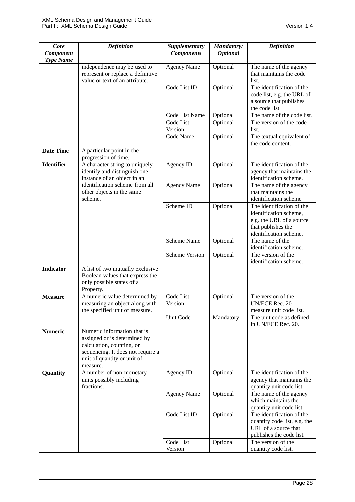| Core<br>Component | <b>Definition</b>                                                                                                                                                        | Supplementary<br><b>Components</b> | Mandatory/<br><b>Optional</b> | <b>Definition</b>                                                                                                               |
|-------------------|--------------------------------------------------------------------------------------------------------------------------------------------------------------------------|------------------------------------|-------------------------------|---------------------------------------------------------------------------------------------------------------------------------|
| <b>Type Name</b>  | independence may be used to<br>represent or replace a definitive<br>value or text of an attribute.                                                                       | <b>Agency Name</b>                 | Optional                      | The name of the agency<br>that maintains the code<br>list.                                                                      |
|                   |                                                                                                                                                                          | Code List ID                       | Optional                      | The identification of the<br>code list, e.g. the URL of<br>a source that publishes<br>the code list.                            |
|                   |                                                                                                                                                                          | Code List Name                     | Optional                      | The name of the code list.                                                                                                      |
|                   |                                                                                                                                                                          | Code List<br>Version               | Optional                      | The version of the code<br>list.                                                                                                |
|                   |                                                                                                                                                                          | Code Name                          | Optional                      | The textual equivalent of<br>the code content.                                                                                  |
| <b>Date Time</b>  | A particular point in the<br>progression of time.                                                                                                                        |                                    |                               |                                                                                                                                 |
| <b>Identifier</b> | A character string to uniquely<br>identify and distinguish one<br>instance of an object in an                                                                            | Agency ID                          | Optional                      | The identification of the<br>agency that maintains the<br>identification scheme.                                                |
|                   | identification scheme from all<br>other objects in the same<br>scheme.                                                                                                   | <b>Agency Name</b>                 | Optional                      | The name of the agency<br>that maintains the<br>identification scheme                                                           |
|                   |                                                                                                                                                                          | Scheme ID                          | Optional                      | The identification of the<br>identification scheme,<br>e.g. the URL of a source<br>that publishes the<br>identification scheme. |
|                   |                                                                                                                                                                          | Scheme Name                        | Optional                      | The name of the<br>identification scheme.                                                                                       |
|                   |                                                                                                                                                                          | <b>Scheme Version</b>              | Optional                      | The version of the<br>identification scheme.                                                                                    |
| <b>Indicator</b>  | A list of two mutually exclusive<br>Boolean values that express the<br>only possible states of a<br>Property.                                                            |                                    |                               |                                                                                                                                 |
| <b>Measure</b>    | A numeric value determined by<br>measuring an object along with<br>the specified unit of measure.                                                                        | Code List<br>Version               | Optional                      | The version of the<br>UN/ECE Rec. 20<br>measure unit code list.                                                                 |
|                   |                                                                                                                                                                          | Unit Code                          | Mandatory                     | The unit code as defined<br>in UN/ECE Rec. 20.                                                                                  |
| <b>Numeric</b>    | Numeric information that is<br>assigned or is determined by<br>calculation, counting, or<br>sequencing. It does not require a<br>unit of quantity or unit of<br>measure. |                                    |                               |                                                                                                                                 |
| Quantity          | A number of non-monetary<br>units possibly including<br>fractions.                                                                                                       | Agency ID                          | Optional                      | The identification of the<br>agency that maintains the<br>quantity unit code list.                                              |
|                   |                                                                                                                                                                          | <b>Agency Name</b>                 | Optional                      | The name of the agency<br>which maintains the<br>quantity unit code list                                                        |
|                   |                                                                                                                                                                          | Code List ID                       | Optional                      | The identification of the<br>quantity code list, e.g. the<br>URL of a source that<br>publishes the code list.                   |
|                   |                                                                                                                                                                          | Code List<br>Version               | Optional                      | The version of the<br>quantity code list.                                                                                       |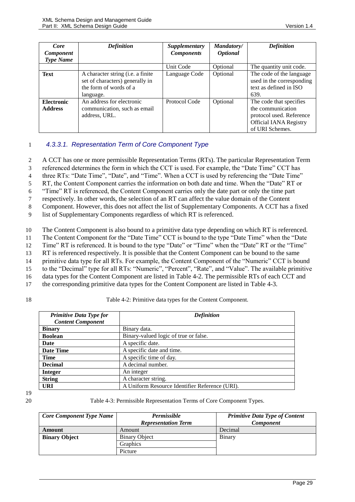| Core<br><b>Component</b>            | <b>Definition</b>                                                                                           | <b>Supplementary</b><br><b>Components</b> | Mandatory/<br><b>Optional</b> | <b>Definition</b>                                                                                                            |
|-------------------------------------|-------------------------------------------------------------------------------------------------------------|-------------------------------------------|-------------------------------|------------------------------------------------------------------------------------------------------------------------------|
| <b>Type Name</b>                    |                                                                                                             |                                           |                               |                                                                                                                              |
|                                     |                                                                                                             | Unit Code                                 | Optional                      | The quantity unit code.                                                                                                      |
| Text                                | A character string (i.e. a finite<br>set of characters) generally in<br>the form of words of a<br>language. | Language Code                             | Optional                      | The code of the language<br>used in the corresponding<br>text as defined in ISO<br>639.                                      |
| <b>Electronic</b><br><b>Address</b> | An address for electronic<br>communication, such as email<br>address, URL.                                  | Protocol Code                             | Optional                      | The code that specifies<br>the communication<br>protocol used. Reference<br><b>Official IANA Registry</b><br>of URI Schemes. |

### <span id="page-28-0"></span>1 *4.3.3.1. Representation Term of Core Component Type*

2 A CCT has one or more permissible Representation Terms (RTs). The particular Representation Term

3 referenced determines the form in which the CCT is used. For example, the "Date Time" CCT has

4 three RTs: "Date Time", "Date", and "Time". When a CCT is used by referencing the "Date Time"

5 RT, the Content Component carries the information on both date and time. When the "Date" RT or

6 "Time" RT is referenced, the Content Component carries only the date part or only the time part

7 respectively. In other words, the selection of an RT can affect the value domain of the Content

8 Component. However, this does not affect the list of Supplementary Components. A CCT has a fixed

9 list of Supplementary Components regardless of which RT is referenced.

10 The Content Component is also bound to a primitive data type depending on which RT is referenced.

11 The Content Component for the "Date Time" CCT is bound to the type "Date Time" when the "Date

12 Time" RT is referenced. It is bound to the type "Date" or "Time" when the "Date" RT or the "Time"

13 RT is referenced respectively. It is possible that the Content Component can be bound to the same

14 primitive data type for all RTs. For example, the Content Component of the "Numeric" CCT is bound

15 to the "Decimal" type for all RTs: "Numeric", "Percent", "Rate", and "Value". The available primitive

16 data types for the Content Component are listed in [Table 4-2.](#page-28-1) The permissible RTs of each CCT and

17 the corresponding primitive data types for the Content Component are listed in [Table 4-3.](#page-28-2)

### <span id="page-28-1"></span>18 Table 4-2: Primitive data types for the Content Component.

| <b>Primitive Data Type for</b> | <b>Definition</b>                              |  |
|--------------------------------|------------------------------------------------|--|
| <b>Content Component</b>       |                                                |  |
| <b>Binary</b>                  | Binary data.                                   |  |
| <b>Boolean</b>                 | Binary-valued logic of true or false.          |  |
| Date                           | A specific date.                               |  |
| <b>Date Time</b>               | A specific date and time.                      |  |
| <b>Time</b>                    | A specific time of day.                        |  |
| <b>Decimal</b>                 | A decimal number.                              |  |
| <b>Integer</b>                 | An integer                                     |  |
| <b>String</b>                  | A character string.                            |  |
| <b>URI</b>                     | A Uniform Resource Identifier Reference (URI). |  |

19

20 Table 4-3: Permissible Representation Terms of Core Component Types.

<span id="page-28-2"></span>

| <b>Core Component Type Name</b> | <b>Permissible</b><br><b>Representation Term</b> | <b>Primitive Data Type of Content</b><br><b>Component</b> |
|---------------------------------|--------------------------------------------------|-----------------------------------------------------------|
| Amount                          | Amount                                           | Decimal                                                   |
| <b>Binary Object</b>            | <b>Binary Object</b>                             | Binary                                                    |
|                                 | <b>Graphics</b>                                  |                                                           |
|                                 | Picture                                          |                                                           |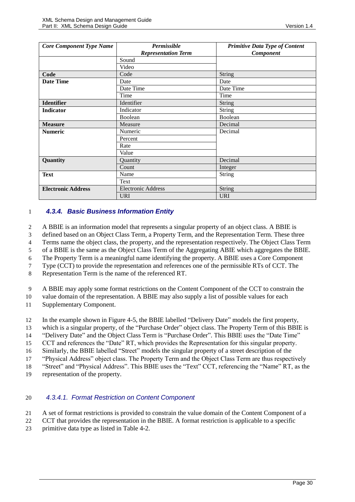| <b>Core Component Type Name</b> | <b>Permissible</b>         | <b>Primitive Data Type of Content</b> |
|---------------------------------|----------------------------|---------------------------------------|
|                                 | <b>Representation Term</b> | Component                             |
|                                 | Sound                      |                                       |
|                                 | Video                      |                                       |
| Code                            | Code                       | String                                |
| <b>Date Time</b>                | Date                       | Date                                  |
|                                 | Date Time                  | Date Time                             |
|                                 | Time                       | Time                                  |
| <b>Identifier</b>               | Identifier                 | String                                |
| <b>Indicator</b>                | Indicator                  | String                                |
|                                 | Boolean                    | Boolean                               |
| <b>Measure</b>                  | Measure                    | Decimal                               |
| <b>Numeric</b>                  | Numeric                    | Decimal                               |
|                                 | Percent                    |                                       |
|                                 | Rate                       |                                       |
|                                 | Value                      |                                       |
| Quantity                        | Quantity                   | Decimal                               |
|                                 | Count                      | Integer                               |
| <b>Text</b>                     | Name                       | <b>String</b>                         |
|                                 | Text                       |                                       |
| <b>Electronic Address</b>       | <b>Electronic Address</b>  | String                                |
|                                 | <b>URI</b>                 | <b>URI</b>                            |

### <span id="page-29-0"></span>1 *4.3.4. Basic Business Information Entity*

2 A BBIE is an information model that represents a singular property of an object class. A BBIE is

3 defined based on an Object Class Term, a Property Term, and the Representation Term. These three

4 Terms name the object class, the property, and the representation respectively. The Object Class Term

5 of a BBIE is the same as the Object Class Term of the Aggregating ABIE which aggregates the BBIE.

6 The Property Term is a meaningful name identifying the property. A BBIE uses a Core Component

7 Type (CCT) to provide the representation and references one of the permissible RTs of CCT. The

8 Representation Term is the name of the referenced RT.

9 A BBIE may apply some format restrictions on the Content Component of the CCT to constrain the

10 value domain of the representation. A BBIE may also supply a list of possible values for each

11 Supplementary Component.

12 In the example shown in [Figure 4-5,](#page-25-0) the BBIE labelled "Delivery Date" models the first property,

13 which is a singular property, of the "Purchase Order" object class. The Property Term of this BBIE is

14 "Delivery Date" and the Object Class Term is "Purchase Order". This BBIE uses the "Date Time"

15 CCT and references the "Date" RT, which provides the Representation for this singular property.

16 Similarly, the BBIE labelled "Street" models the singular property of a street description of the

17 "Physical Address" object class. The Property Term and the Object Class Term are thus respectively

18 "Street" and "Physical Address". This BBIE uses the "Text" CCT, referencing the "Name" RT, as the

19 representation of the property.

### 20 *4.3.4.1. Format Restriction on Content Component*

21 A set of format restrictions is provided to constrain the value domain of the Content Component of a

22 CCT that provides the representation in the BBIE. A format restriction is applicable to a specific

23 primitive data type as listed in [Table 4-2.](#page-28-1)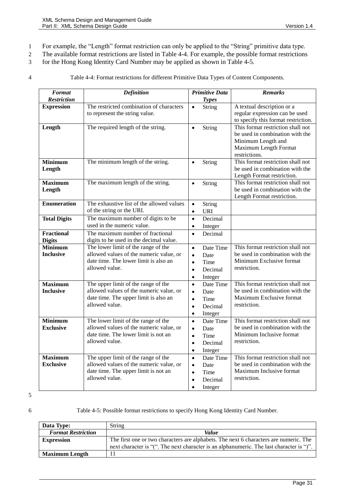- 1 For example, the "Length" format restriction can only be applied to the "String" primitive data type.
- 2 The available format restrictions are listed in [Table 4-4.](#page-30-0) For example, the possible format restrictions
- 3 for the Hong Kong Identity Card Number may be applied as shown in [Table 4-5.](#page-30-1)

<span id="page-30-0"></span>

4 Table 4-4: Format restrictions for different Primitive Data Types of Content Components.

| <b>Format</b>                      | <b>Definition</b>                                                                | <b>Primitive Data</b>   | <b>Remarks</b>                                                       |
|------------------------------------|----------------------------------------------------------------------------------|-------------------------|----------------------------------------------------------------------|
| <b>Restriction</b>                 |                                                                                  | <b>Types</b>            |                                                                      |
| <b>Expression</b>                  | The restricted combination of characters                                         | String<br>$\bullet$     | A textual description or a                                           |
|                                    | to represent the string value.                                                   |                         | regular expression can be used                                       |
|                                    |                                                                                  |                         | to specify this format restriction.                                  |
| Length                             | The required length of the string.                                               | String<br>$\bullet$     | This format restriction shall not                                    |
|                                    |                                                                                  |                         | be used in combination with the<br>Minimum Length and                |
|                                    |                                                                                  |                         | Maximum Length Format                                                |
|                                    |                                                                                  |                         | restrictions.                                                        |
| <b>Minimum</b>                     | The minimum length of the string.                                                | String<br>$\bullet$     | This format restriction shall not                                    |
| Length                             |                                                                                  |                         | be used in combination with the                                      |
|                                    |                                                                                  |                         | Length Format restriction.                                           |
| <b>Maximum</b>                     | The maximum length of the string.                                                | String<br>$\bullet$     | This format restriction shall not                                    |
| Length                             |                                                                                  |                         | be used in combination with the                                      |
|                                    |                                                                                  |                         | Length Format restriction.                                           |
| <b>Enumeration</b>                 | The exhaustive list of the allowed values                                        | String<br>$\bullet$     |                                                                      |
|                                    | of the string or the URI.                                                        | <b>URI</b><br>$\bullet$ |                                                                      |
| <b>Total Digits</b>                | The maximum number of digits to be                                               | Decimal<br>$\bullet$    |                                                                      |
|                                    | used in the numeric value.                                                       | Integer<br>$\bullet$    |                                                                      |
| Fractional                         | The maximum number of fractional                                                 | Decimal<br>$\bullet$    |                                                                      |
| <b>Digits</b>                      | digits to be used in the decimal value.                                          |                         |                                                                      |
| <b>Minimum</b>                     | The lower limit of the range of the                                              | Date Time<br>$\bullet$  | This format restriction shall not                                    |
| <b>Inclusive</b>                   | allowed values of the numeric value, or                                          | Date<br>$\bullet$       | be used in combination with the                                      |
|                                    | date time. The lower limit is also an<br>allowed value.                          | Time<br>$\bullet$       | Minimum Exclusive format<br>restriction.                             |
|                                    |                                                                                  | Decimal<br>$\bullet$    |                                                                      |
|                                    |                                                                                  | Integer<br>$\bullet$    |                                                                      |
| <b>Maximum</b>                     | The upper limit of the range of the                                              | Date Time<br>$\bullet$  | This format restriction shall not<br>be used in combination with the |
| <b>Inclusive</b>                   | allowed values of the numeric value, or<br>date time. The upper limit is also an | Date<br>$\bullet$       | Maximum Exclusive format                                             |
|                                    | allowed value.                                                                   | Time<br>$\bullet$       | restriction.                                                         |
|                                    |                                                                                  | Decimal<br>$\bullet$    |                                                                      |
|                                    |                                                                                  | Integer<br>$\bullet$    |                                                                      |
| <b>Minimum</b><br><b>Exclusive</b> | The lower limit of the range of the<br>allowed values of the numeric value, or   | $\bullet$<br>Date Time  | This format restriction shall not<br>be used in combination with the |
|                                    | date time. The lower limit is not an                                             | Date<br>$\bullet$       | Minimum Inclusive format                                             |
|                                    | allowed value.                                                                   | Time<br>$\bullet$       | restriction.                                                         |
|                                    |                                                                                  | Decimal<br>$\bullet$    |                                                                      |
| <b>Maximum</b>                     | The upper limit of the range of the                                              | Integer<br>$\bullet$    | This format restriction shall not                                    |
| <b>Exclusive</b>                   | allowed values of the numeric value, or                                          | Date Time<br>$\bullet$  | be used in combination with the                                      |
|                                    | date time. The upper limit is not an                                             | Date<br>$\bullet$       | Maximum Inclusive format                                             |
|                                    | allowed value.                                                                   | Time<br>$\bullet$       | restriction.                                                         |
|                                    |                                                                                  | Decimal<br>$\bullet$    |                                                                      |
|                                    |                                                                                  | Integer<br>٠            |                                                                      |

5

<span id="page-30-1"></span>6 Table 4-5: Possible format restrictions to specify Hong Kong Identity Card Number.

| Data Type:                | String                                                                                   |
|---------------------------|------------------------------------------------------------------------------------------|
| <b>Format Restriction</b> | <i>Value</i>                                                                             |
| <b>Expression</b>         | The first one or two characters are alphabets. The next 6 characters are numeric. The    |
|                           | next character is "(". The next character is an alphanumeric. The last character is ")". |
| <b>Maximum Length</b>     |                                                                                          |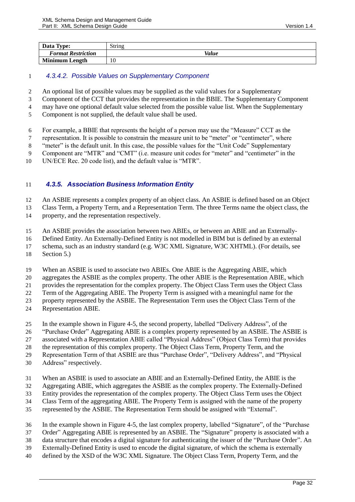| Data Type:                | String |
|---------------------------|--------|
| <b>Format Restriction</b> | Value  |
| <b>Minimum Length</b>     | 10     |

### *4.3.4.2. Possible Values on Supplementary Component*

- An optional list of possible values may be supplied as the valid values for a Supplementary
- Component of the CCT that provides the representation in the BBIE. The Supplementary Component
- may have one optional default value selected from the possible value list. When the Supplementary
- Component is not supplied, the default value shall be used.
- For example, a BBIE that represents the height of a person may use the "Measure" CCT as the
- representation. It is possible to constrain the measure unit to be "meter" or "centimeter", where
- "meter" is the default unit. In this case, the possible values for the "Unit Code" Supplementary
- Component are "MTR" and "CMT" (i.e. measure unit codes for "meter" and "centimeter" in the
- UN/ECE Rec. 20 code list), and the default value is "MTR".

### <span id="page-31-0"></span>*4.3.5. Association Business Information Entity*

An ASBIE represents a complex property of an object class. An ASBIE is defined based on an Object

Class Term, a Property Term, and a Representation Term. The three Terms name the object class, the

- property, and the representation respectively.
- An ASBIE provides the association between two ABIEs, or between an ABIE and an Externally-
- Defined Entity. An Externally-Defined Entity is not modelled in BIM but is defined by an external
- schema, such as an industry standard (e.g. W3C XML Signature, W3C XHTML). (For details, see
- Sectio[n 5.](#page-39-1))
- When an ASBIE is used to associate two ABIEs. One ABIE is the Aggregating ABIE, which
- aggregates the ASBIE as the complex property. The other ABIE is the Representation ABIE, which

provides the representation for the complex property. The Object Class Term uses the Object Class

Term of the Aggregating ABIE. The Property Term is assigned with a meaningful name for the

- property represented by the ASBIE. The Representation Term uses the Object Class Term of the
- Representation ABIE.
- In the example shown in [Figure 4-5,](#page-25-0) the second property, labelled "Delivery Address", of the
- "Purchase Order" Aggregating ABIE is a complex property represented by an ASBIE. The ASBIE is
- associated with a Representation ABIE called "Physical Address" (Object Class Term) that provides

the representation of this complex property. The Object Class Term, Property Term, and the

- Representation Term of that ASBIE are thus "Purchase Order", "Delivery Address", and "Physical
- Address" respectively.
- When an ASBIE is used to associate an ABIE and an Externally-Defined Entity, the ABIE is the
- Aggregating ABIE, which aggregates the ASBIE as the complex property. The Externally-Defined
- Entity provides the representation of the complex property. The Object Class Term uses the Object
- Class Term of the aggregating ABIE. The Property Term is assigned with the name of the property
- represented by the ASBIE. The Representation Term should be assigned with "External".
- In the example shown in [Figure 4-5,](#page-25-0) the last complex property, labelled "Signature", of the "Purchase
- Order" Aggregating ABIE is represented by an ASBIE. The "Signature" property is associated with a
- data structure that encodes a digital signature for authenticating the issuer of the "Purchase Order". An
- Externally-Defined Entity is used to encode the digital signature, of which the schema is externally
- defined by the XSD of the W3C XML Signature. The Object Class Term, Property Term, and the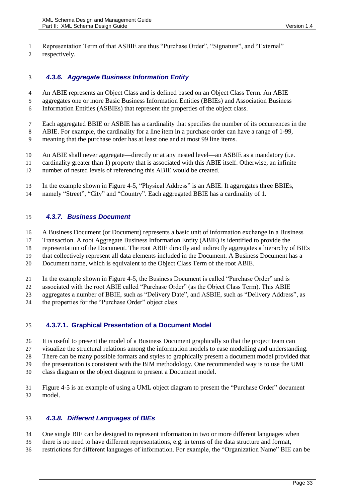Representation Term of that ASBIE are thus "Purchase Order", "Signature", and "External" respectively.

## <span id="page-32-0"></span>*4.3.6. Aggregate Business Information Entity*

An ABIE represents an Object Class and is defined based on an Object Class Term. An ABIE

- aggregates one or more Basic Business Information Entities (BBIEs) and Association Business
- Information Entities (ASBIEs) that represent the properties of the object class.
- Each aggregated BBIE or ASBIE has a cardinality that specifies the number of its occurrences in the
- ABIE. For example, the cardinality for a line item in a purchase order can have a range of 1-99,
- meaning that the purchase order has at least one and at most 99 line items.
- An ABIE shall never aggregate—directly or at any nested level—an ASBIE as a mandatory (i.e.
- cardinality greater than 1) property that is associated with this ABIE itself. Otherwise, an infinite number of nested levels of referencing this ABIE would be created.
- In the example shown in [Figure 4-5,](#page-25-0) "Physical Address" is an ABIE. It aggregates three BBIEs,
- namely "Street", "City" and "Country". Each aggregated BBIE has a cardinality of 1.

### <span id="page-32-1"></span>*4.3.7. Business Document*

A Business Document (or Document) represents a basic unit of information exchange in a Business

Transaction. A root Aggregate Business Information Entity (ABIE) is identified to provide the

representation of the Document. The root ABIE directly and indirectly aggregates a hierarchy of BIEs

that collectively represent all data elements included in the Document. A Business Document has a

Document name, which is equivalent to the Object Class Term of the root ABIE.

- In the example shown in [Figure 4-5,](#page-25-0) the Business Document is called "Purchase Order" and is
- associated with the root ABIE called "Purchase Order" (as the Object Class Term). This ABIE
- aggregates a number of BBIE, such as "Delivery Date", and ASBIE, such as "Delivery Address", as
- the properties for the "Purchase Order" object class.

### **4.3.7.1. Graphical Presentation of a Document Model**

It is useful to present the model of a Business Document graphically so that the project team can

- visualize the structural relations among the information models to ease modelling and understanding.
- There can be many possible formats and styles to graphically present a document model provided that
- the presentation is consistent with the BIM methodology. One recommended way is to use the UML
- class diagram or the object diagram to present a Document model.
- [Figure 4-5](#page-25-0) is an example of using a UML object diagram to present the "Purchase Order" document model.

### <span id="page-32-2"></span>*4.3.8. Different Languages of BIEs*

- One single BIE can be designed to represent information in two or more different languages when
- there is no need to have different representations, e.g. in terms of the data structure and format,
- restrictions for different languages of information. For example, the "Organization Name" BIE can be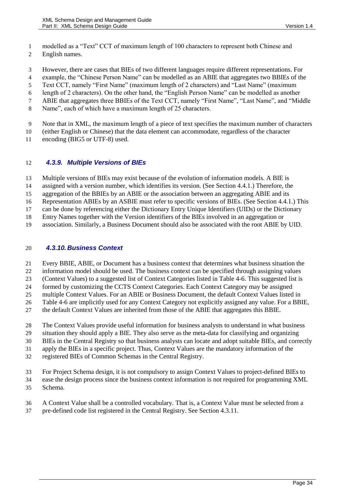- modelled as a "Text" CCT of maximum length of 100 characters to represent both Chinese and
- English names.

However, there are cases that BIEs of two different languages require different representations. For

example, the "Chinese Person Name" can be modelled as an ABIE that aggregates two BBIEs of the

Text CCT, namely "First Name" (maximum length of 2 characters) and "Last Name" (maximum

length of 2 characters). On the other hand, the "English Person Name" can be modelled as another

ABIE that aggregates three BBIEs of the Text CCT, namely "First Name", "Last Name", and "Middle

Name", each of which have a maximum length of 25 characters.

Note that in XML, the maximum length of a piece of text specifies the maximum number of characters

(either English or Chinese) that the data element can accommodate, regardless of the character

encoding (BIG5 or UTF-8) used.

### <span id="page-33-0"></span>*4.3.9. Multiple Versions of BIEs*

Multiple versions of BIEs may exist because of the evolution of information models. A BIE is

assigned with a version number, which identifies its version. (See Section [4.4.1.](#page-35-0)) Therefore, the

aggregation of the BBIEs by an ABIE or the association between an aggregating ABIE and its

Representation ABIEs by an ASBIE must refer to specific versions of BIEs. (See Sectio[n 4.4.1.](#page-35-0)) This

can be done by referencing either the Dictionary Entry Unique Identifiers (UIDs) or the Dictionary

Entry Names together with the Version identifiers of the BIEs involved in an aggregation or

association. Similarly, a Business Document should also be associated with the root ABIE by UID.

### <span id="page-33-1"></span>*4.3.10. Business Context*

Every BBIE, ABIE, or Document has a business context that determines what business situation the

information model should be used. The business context can be specified through assigning values

(Context Values) to a suggested list of Context Categories listed i[n Table 4-6.](#page-34-2) This suggested list is

formed by customizing the CCTS Context Categories. Each Context Category may be assigned

multiple Context Values. For an ABIE or Business Document, the default Context Values listed in

[Table 4-6](#page-34-2) are implicitly used for any Context Category not explicitly assigned any value. For a BBIE,

the default Context Values are inherited from those of the ABIE that aggregates this BBIE.

The Context Values provide useful information for business analysts to understand in what business

situation they should apply a BIE. They also serve as the meta-data for classifying and organizing

BIEs in the Central Registry so that business analysts can locate and adopt suitable BIEs, and correctly

apply the BIEs in a specific project. Thus, Context Values are the mandatory information of the

registered BIEs of Common Schemas in the Central Registry.

For Project Schema design, it is not compulsory to assign Context Values to project-defined BIEs to

ease the design process since the business context information is not required for programming XML

Schema.

A Context Value shall be a controlled vocabulary. That is, a Context Value must be selected from a

pre-defined code list registered in the Central Registry. See Section [4.3.11.](#page-34-1)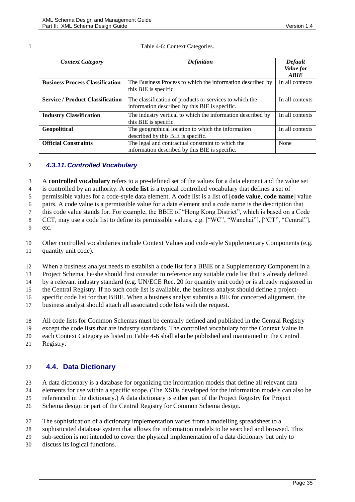<span id="page-34-2"></span>

#### Table 4-6: Context Categories.

| <b>Context Category</b>                 | <b>Definition</b>                                           | Default         |
|-----------------------------------------|-------------------------------------------------------------|-----------------|
|                                         |                                                             | Value for       |
|                                         |                                                             | <b>ARIE</b>     |
| <b>Business Process Classification</b>  | The Business Process to which the information described by  | In all contexts |
|                                         | this BIE is specific.                                       |                 |
| <b>Service / Product Classification</b> | The classification of products or services to which the     | In all contexts |
|                                         | information described by this BIE is specific.              |                 |
| <b>Industry Classification</b>          | The industry vertical to which the information described by | In all contexts |
|                                         | this BIE is specific.                                       |                 |
| Geopolitical                            | The geographical location to which the information          | In all contexts |
|                                         | described by this BIE is specific.                          |                 |
| <b>Official Constraints</b>             | The legal and contractual constraint to which the           | None            |
|                                         | information described by this BIE is specific.              |                 |

### <span id="page-34-1"></span>2 *4.3.11. Controlled Vocabulary*

3 A **controlled vocabulary** refers to a pre-defined set of the values for a data element and the value set 4 is controlled by an authority. A **code list** is a typical controlled vocabulary that defines a set of

5 permissible values for a code-style data element. A code list is a list of [**code value**, **code name**] value

6 pairs. A code value is a permissible value for a data element and a code name is the description that

7 this code value stands for. For example, the BBIE of "Hong Kong District", which is based on a Code

8 CCT, may use a code list to define its permissible values, e.g. ["WC", "Wanchai"], ["CT", "Central"],

9 etc.

10 Other controlled vocabularies include Context Values and code-style Supplementary Components (e.g. 11 quantity unit code).

12 When a business analyst needs to establish a code list for a BBIE or a Supplementary Component in a

13 Project Schema, he/she should first consider to reference any suitable code list that is already defined

14 by a relevant industry standard (e.g. UN/ECE Rec. 20 for quantity unit code) or is already registered in

15 the Central Registry. If no such code list is available, the business analyst should define a project-

16 specific code list for that BBIE. When a business analyst submits a BIE for concerted alignment, the

17 business analyst should attach all associated code lists with the request.

18 All code lists for Common Schemas must be centrally defined and published in the Central Registry

19 except the code lists that are industry standards. The controlled vocabulary for the Context Value in

20 each Context Category as listed in [Table 4-6](#page-34-2) shall also be published and maintained in the Central

21 Registry.

### <span id="page-34-0"></span>22 **4.4. Data Dictionary**

23 A data dictionary is a database for organizing the information models that define all relevant data

24 elements for use within a specific scope. (The XSDs developed for the information models can also be 25 referenced in the dictionary.) A data dictionary is either part of the Project Registry for Project

26 Schema design or part of the Central Registry for Common Schema design.

- 27 The sophistication of a dictionary implementation varies from a modelling spreadsheet to a
- 28 sophisticated database system that allows the information models to be searched and browsed. This

29 sub-section is not intended to cover the physical implementation of a data dictionary but only to

30 discuss its logical functions.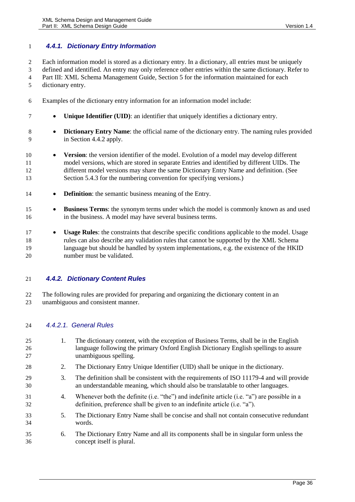### <span id="page-35-0"></span>*4.4.1. Dictionary Entry Information*

Each information model is stored as a dictionary entry. In a dictionary, all entries must be uniquely

defined and identified. An entry may only reference other entries within the same dictionary. Refer to

Part III: XML Schema Management Guide, Section 5 for the information maintained for each

- dictionary entry.
- Examples of the dictionary entry information for an information model include:
- **Unique Identifier (UID)**: an identifier that uniquely identifies a dictionary entry.
- 8 **Dictionary Entry Name:** the official name of the dictionary entry. The naming rules provided in Section [4.4.2](#page-35-1) apply.
- **• Version**: the version identifier of the model. Evolution of a model may develop different model versions, which are stored in separate Entries and identified by different UIDs. The different model versions may share the same Dictionary Entry Name and definition. (See Sectio[n 5.4.3](#page-49-1) for the numbering convention for specifying versions.)
- **Definition**: the semantic business meaning of the Entry.
- **Business Terms**: the synonym terms under which the model is commonly known as and used in the business. A model may have several business terms.
- **Usage Rules**: the constraints that describe specific conditions applicable to the model. Usage rules can also describe any validation rules that cannot be supported by the XML Schema language but should be handled by system implementations, e.g. the existence of the HKID number must be validated.

### <span id="page-35-1"></span>*4.4.2. Dictionary Content Rules*

 The following rules are provided for preparing and organizing the dictionary content in an unambiguous and consistent manner.

### *4.4.2.1. General Rules*

 1. The dictionary content, with the exception of Business Terms, shall be in the English language following the primary Oxford English Dictionary English spellings to assure unambiguous spelling. 2. The Dictionary Entry Unique Identifier (UID) shall be unique in the dictionary. 3. The definition shall be consistent with the requirements of ISO 11179-4 and will provide an understandable meaning, which should also be translatable to other languages. 4. Whenever both the definite (i.e. "the") and indefinite article (i.e. "a") are possible in a definition, preference shall be given to an indefinite article (i.e. "a"). 5. The Dictionary Entry Name shall be concise and shall not contain consecutive redundant words. 6. The Dictionary Entry Name and all its components shall be in singular form unless the concept itself is plural.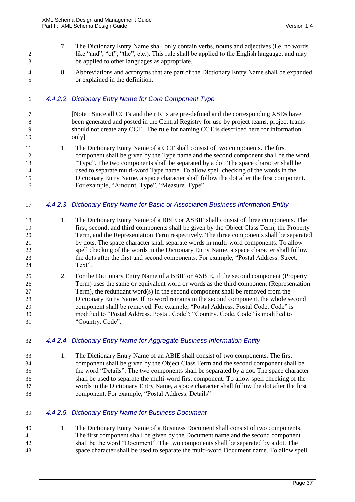- 7. The Dictionary Entry Name shall only contain verbs, nouns and adjectives (i.e. no words 2 like "and", "of", "the", etc.). This rule shall be applied to the English language, and may be applied to other languages as appropriate.
- 8. Abbreviations and acronyms that are part of the Dictionary Entry Name shall be expanded or explained in the definition.

### *4.4.2.2. Dictionary Entry Name for Core Component Type*

- [Note : Since all CCTs and their RTs are pre-defined and the corresponding XSDs have been generated and posted in the Central Registry for use by project teams, project teams should not create any CCT. The rule for naming CCT is described here for information only]
- 11 1. The Dictionary Entry Name of a CCT shall consist of two components. The first component shall be given by the Type name and the second component shall be the word "Type". The two components shall be separated by a dot. The space character shall be used to separate multi-word Type name. To allow spell checking of the words in the Dictionary Entry Name, a space character shall follow the dot after the first component. For example, "Amount. Type", "Measure. Type".

### *4.4.2.3. Dictionary Entry Name for Basic or Association Business Information Entity*

- 18 1. The Dictionary Entry Name of a BBIE or ASBIE shall consist of three components. The first, second, and third components shall be given by the Object Class Term, the Property Term, and the Representation Term respectively. The three components shall be separated by dots. The space character shall separate words in multi-word components. To allow spell checking of the words in the Dictionary Entry Name, a space character shall follow the dots after the first and second components. For example, "Postal Address. Street. Text".
- 2. For the Dictionary Entry Name of a BBIE or ASBIE, if the second component (Property Term) uses the same or equivalent word or words as the third component (Representation Term), the redundant word(s) in the second component shall be removed from the Dictionary Entry Name. If no word remains in the second component, the whole second component shall be removed. For example, "Postal Address. Postal Code. Code" is 30 modified to "Postal Address. Postal. Code"; "Country. Code. Code" is modified to "Country. Code".

### *4.4.2.4. Dictionary Entry Name for Aggregate Business Information Entity*

- 1. The Dictionary Entry Name of an ABIE shall consist of two components. The first component shall be given by the Object Class Term and the second component shall be the word "Details". The two components shall be separated by a dot. The space character shall be used to separate the multi-word first component. To allow spell checking of the words in the Dictionary Entry Name, a space character shall follow the dot after the first component. For example, "Postal Address. Details"
- *4.4.2.5. Dictionary Entry Name for Business Document*
- 1. The Dictionary Entry Name of a Business Document shall consist of two components. The first component shall be given by the Document name and the second component shall be the word "Document". The two components shall be separated by a dot. The space character shall be used to separate the multi-word Document name. To allow spell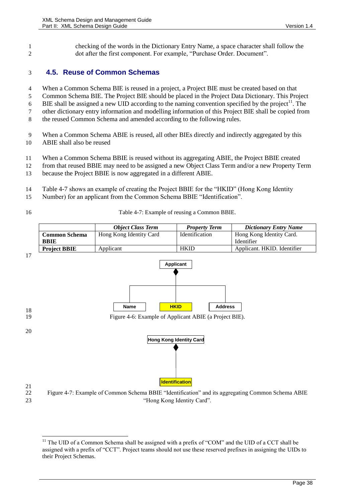1 checking of the words in the Dictionary Entry Name, a space character shall follow the 2 dot after the first component. For example, "Purchase Order. Document".

### <span id="page-37-1"></span>3 **4.5. Reuse of Common Schemas**

- 4 When a Common Schema BIE is reused in a project, a Project BIE must be created based on that
- 5 Common Schema BIE. The Project BIE should be placed in the Project Data Dictionary. This Project
- 6 BIE shall be assigned a new UID according to the naming convention specified by the project<sup>11</sup>. The
- 7 other dictionary entry information and modelling information of this Project BIE shall be copied from
- 8 the reused Common Schema and amended according to the following rules.
- 9 When a Common Schema ABIE is reused, all other BIEs directly and indirectly aggregated by this 10 ABIE shall also be reused
- 11 When a Common Schema BBIE is reused without its aggregating ABIE, the Project BBIE created
- 12 from that reused BBIE may need to be assigned a new Object Class Term and/or a new Property Term
- 13 because the Project BBIE is now aggregated in a different ABIE.
- 14 [Table 4-7](#page-37-0) shows an example of creating the Project BBIE for the "HKID" (Hong Kong Identity
- 15 Number) for an applicant from the Common Schema BBIE "Identification".

<span id="page-37-0"></span>

16 Table 4-7: Example of reusing a Common BBIE.



<sup>23</sup> "Hong Kong Identity Card".

 $\overline{a}$ <sup>11</sup> The UID of a Common Schema shall be assigned with a prefix of "COM" and the UID of a CCT shall be assigned with a prefix of "CCT". Project teams should not use these reserved prefixes in assigning the UIDs to their Project Schemas.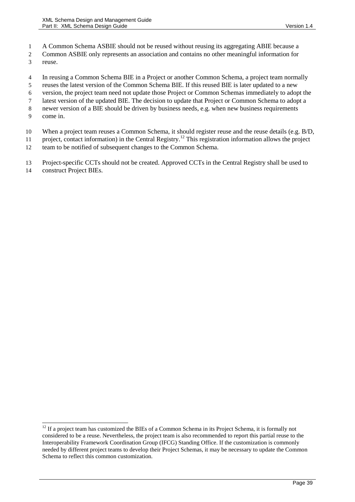- A Common Schema ASBIE should not be reused without reusing its aggregating ABIE because a
- Common ASBIE only represents an association and contains no other meaningful information for
- reuse.
- In reusing a Common Schema BIE in a Project or another Common Schema, a project team normally
- reuses the latest version of the Common Schema BIE. If this reused BIE is later updated to a new
- version, the project team need not update those Project or Common Schemas immediately to adopt the
- latest version of the updated BIE. The decision to update that Project or Common Schema to adopt a
- newer version of a BIE should be driven by business needs, e.g. when new business requirements
- come in.

 $\overline{a}$ 

- When a project team reuses a Common Schema, it should register reuse and the reuse details (e.g. B/D,
- project, contact information) in the Central Registry.<sup>12</sup> This registration information allows the project project
- team to be notified of subsequent changes to the Common Schema.

Project-specific CCTs should not be created. Approved CCTs in the Central Registry shall be used to

construct Project BIEs.

 If a project team has customized the BIEs of a Common Schema in its Project Schema, it is formally not considered to be a reuse. Nevertheless, the project team is also recommended to report this partial reuse to the Interoperability Framework Coordination Group (IFCG) Standing Office. If the customization is commonly needed by different project teams to develop their Project Schemas, it may be necessary to update the Common Schema to reflect this common customization.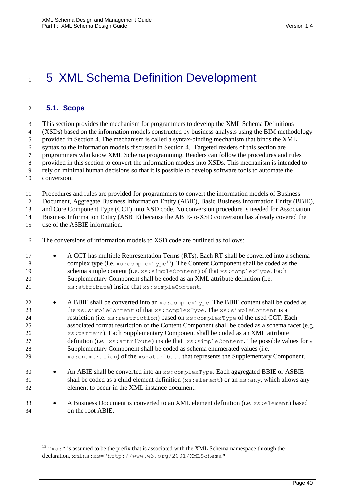# <span id="page-39-0"></span>1 5 XML Schema Definition Development

### **5.1. Scope**

This section provides the mechanism for programmers to develop the XML Schema Definitions

(XSDs) based on the information models constructed by business analysts using the BIM methodology

provided in Section [4.](#page-20-0) The mechanism is called a syntax-binding mechanism that binds the XML

syntax to the information models discussed in Section [4.](#page-20-0) Targeted readers of this section are

programmers who know XML Schema programming. Readers can follow the procedures and rules

provided in this section to convert the information models into XSDs. This mechanism is intended to

rely on minimal human decisions so that it is possible to develop software tools to automate the

conversion.

l

Procedures and rules are provided for programmers to convert the information models of Business

Document, Aggregate Business Information Entity (ABIE), Basic Business Information Entity (BBIE),

and Core Component Type (CCT) into XSD code. No conversion procedure is needed for Association

Business Information Entity (ASBIE) because the ABIE-to-XSD conversion has already covered the

use of the ASBIE information.

The conversions of information models to XSD code are outlined as follows:

- 17 A CCT has multiple Representation Terms (RTs). Each RT shall be converted into a schema 18 complex type (i.e. xs: complexType<sup>13</sup>). The Content Component shall be coded as the 19 schema simple content (i.e.  $xs:simpleContent)$  of that  $xs:complexType$ . Each Supplementary Component shall be coded as an XML attribute definition (i.e. xs:attribute) inside that xs:simpleContent.
- 22 A BBIE shall be converted into an  $xs:complexType$ . The BBIE content shall be coded as 23 the xs: simpleContent of that xs: complexType. The xs: simpleContent is a restriction (i.e. xs:restriction) based on xs:complexType of the used CCT. Each associated format restriction of the Content Component shall be coded as a schema facet (e.g. xs:pattern). Each Supplementary Component shall be coded as an XML attribute 27 definition (i.e. xs: attribute) inside that xs: simpleContent. The possible values for a Supplementary Component shall be coded as schema enumerated values (i.e. xs:enumeration) of the xs:attribute that represents the Supplementary Component.
- 30 An ABIE shall be converted into an  $xs:complexType$ . Each aggregated BBIE or ASBIE shall be coded as a child element definition (xs:element) or an xs:any, which allows any element to occur in the XML instance document.
- 33 
A Business Document is converted to an XML element definition (i.e.  $xs:$  element) based on the root ABIE.

 " $x$ s:" is assumed to be the prefix that is associated with the XML Schema namespace through the declaration, xmlns:xs="http://www.w3.org/2001/XMLSchema"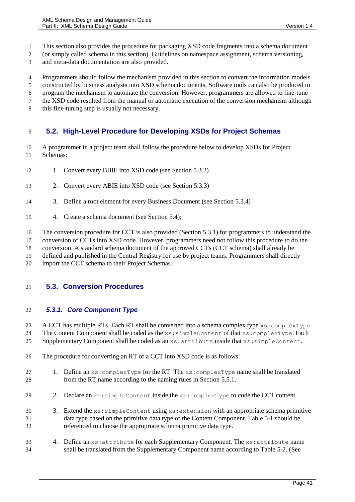- This section also provides the procedure for packaging XSD code fragments into a schema document
- (or simply called schema in this section). Guidelines on namespace assignment, schema versioning,
- and meta-data documentation are also provided.
- Programmers should follow the mechanism provided in this section to convert the information models
- constructed by business analysts into XSD schema documents. Software tools can also be produced to
- program the mechanism to automate the conversion. However, programmers are allowed to fine-tune
- the XSD code resulted from the manual or automatic execution of the conversion mechanism although
- this fine-tuning step is usually not necessary.

### **5.2. High-Level Procedure for Developing XSDs for Project Schemas**

- A programmer in a project team shall follow the procedure below to develop XSDs for Project Schemas:
- 12 1. Convert every BBIE into XSD code (see Section [5.3.2\)](#page-42-0)
- 2. Convert every ABIE into XSD code (see Section [5.3.3\)](#page-44-0)
- 3. Define a root element for every Business Document (see Section [5.3.4\)](#page-46-0)
- 4. Create a schema document (see Section [5.4\)](#page-46-1);
- The conversion procedure for CCT is also provided (Section [5.3.1\)](#page-40-0) for programmers to understand the
- conversion of CCTs into XSD code. However, programmers need not follow this procedure to do the
- conversion. A standard schema document of the approved CCTs (CCT schema) shall already be
- defined and published in the Central Registry for use by project teams. Programmers shall directly
- import the CCT schema to their Project Schemas.

### **5.3. Conversion Procedures**

### <span id="page-40-0"></span>*5.3.1. Core Component Type*

23 A CCT has multiple RTs. Each RT shall be converted into a schema complex type  $xs:complexType$ . The Content Component shall be coded as the xs:simpleContent of that xs:complexType. Each

Supplementary Component shall be coded as an xs:attribute inside that xs:simpleContent.

- 
- The procedure for converting an RT of a CCT into XSD code is as follows:
- 27 1. Define an  $xs:complexType$  for the RT. The  $xs:complexType$  name shall be translated from the RT name according to the naming rules in Section [5.5.1.](#page-50-0)
- 29 2. Declare an xs: simpleContent inside the xs: complexType to code the CCT content.
- 3. Extend the xs:simpleContent using xs:extension with an appropriate schema primitive data type based on the primitive data type of the Content Component. [Table 5-1](#page-41-0) should be referenced to choose the appropriate schema primitive data type.
- 4. Define an xs:attribute for each Supplementary Component. The xs:attribute name shall be translated from the Supplementary Component name according to [Table 5-2.](#page-41-1) (See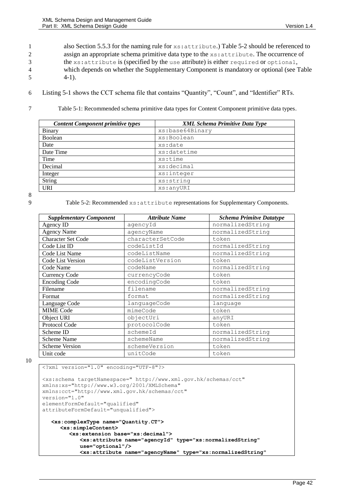1 also Section [5.5.3](#page-52-0) for the naming rule for  $xs:$  attribute.) [Table 5-2](#page-41-1) should be referenced to 2 assign an appropriate schema primitive data type to the xs: attribute. The occurrence of 3 the xs:attribute is (specified by the use attribute) is either required or optional, 4 which depends on whether the Supplementary Component is mandatory or optional (see [Table](#page-26-0)   $5 \t 4-1$ ).

- 6 [Listing 5-1](#page-42-1) shows the CCT schema file that contains "Quantity", "Count", and "Identifier" RTs.
- 

<span id="page-41-0"></span>7 Table 5-1: Recommended schema primitive data types for Content Component primitive data types.

| <b>Content Component primitive types</b> | <b>XML Schema Primitive Data Type</b> |
|------------------------------------------|---------------------------------------|
| Binary                                   | xs:base64Binary                       |
| Boolean                                  | xs:Boolean                            |
| Date                                     | xs:date                               |
| Date Time                                | xs:datetime                           |
| Time                                     | xs:time                               |
| Decimal                                  | xs:decimal                            |
| Integer                                  | xs:integer                            |
| <b>String</b>                            | xs:string                             |
| <b>URI</b>                               | xs:anyURI                             |

8

<span id="page-41-1"></span>9 Table 5-2: Recommended xs:attribute representations for Supplementary Components.

| <b>Supplementary Component</b> | <b>Attribute Name</b> | <b>Schema Primitve Datatype</b> |
|--------------------------------|-----------------------|---------------------------------|
| Agency ID                      | agencyId              | normalizedString                |
| <b>Agency Name</b>             | agencyName            | normalizedString                |
| <b>Character Set Code</b>      | characterSetCode      | token                           |
| Code List ID                   | codeListId            | normalizedString                |
| Code List Name                 | codeListName          | normalizedString                |
| Code List Version              | codeListVersion       | token                           |
| Code Name                      | codeName              | normalizedString                |
| <b>Currency Code</b>           | currencyCode          | token                           |
| <b>Encoding Code</b>           | encodingCode          | token                           |
| Filename                       | filename              | normalizedString                |
| Format                         | format                | normalizedString                |
| Language Code                  | languageCode          | language                        |
| <b>MIME</b> Code               | mimeCode              | token                           |
| Object URI                     | objectUri             | anyURI                          |
| Protocol Code                  | protocolCode          | token                           |
| Scheme ID                      | schemeId              | normalizedString                |
| Scheme Name                    | schemeName            | normalizedString                |
| <b>Scheme Version</b>          | schemeVersion         | token                           |
| Unit code                      | unitCode              | token                           |

```
<?xml version="1.0" encoding="UTF-8"?>
<xs:schema targetNamespace=" http://www.xml.gov.hk/schemas/cct" 
xmlns:xs="http://www.w3.org/2001/XMLSchema" 
xmlns:cct="http://www.xml.gov.hk/schemas/cct"
version="1.0"
elementFormDefault="qualified" 
attributeFormDefault="unqualified">
   <xs:complexType name="Quantity.CT">
     <xs:simpleContent>
        <xs:extension base="xs:decimal">
            <xs:attribute name="agencyId" type="xs:normalizedString" 
            use="optional"/>
            <xs:attribute name="agencyName" type="xs:normalizedString"
```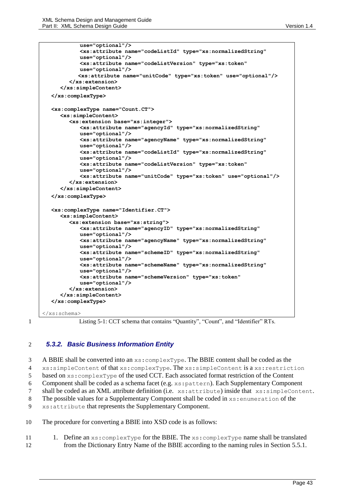```
use="optional"/>
           <xs:attribute name="codeListId" type="xs:normalizedString" 
           use="optional"/>
           <xs:attribute name="codeListVersion" type="xs:token" 
           use="optional"/>
           <xs:attribute name="unitCode" type="xs:token" use="optional"/>
        </xs:extension>
     </xs:simpleContent>
  </xs:complexType>
  <xs:complexType name="Count.CT">
     <xs:simpleContent>
        <xs:extension base="xs:integer">
           <xs:attribute name="agencyId" type="xs:normalizedString" 
           use="optional"/>
           <xs:attribute name="agencyName" type="xs:normalizedString" 
           use="optional"/>
           <xs:attribute name="codeListId" type="xs:normalizedString" 
           use="optional"/>
           <xs:attribute name="codeListVersion" type="xs:token" 
           use="optional"/>
           <xs:attribute name="unitCode" type="xs:token" use="optional"/>
        </xs:extension>
     </xs:simpleContent>
  </xs:complexType>
  <xs:complexType name="Identifier.CT">
     <xs:simpleContent>
        <xs:extension base="xs:string">
           <xs:attribute name="agencyID" type="xs:normalizedString" 
           use="optional"/>
           <xs:attribute name="agencyName" type="xs:normalizedString" 
           use="optional"/>
           <xs:attribute name="schemeID" type="xs:normalizedString" 
           use="optional"/>
           <xs:attribute name="schemeName" type="xs:normalizedString" 
           use="optional"/>
           <xs:attribute name="schemeVersion" type="xs:token" 
           use="optional"/>
        </xs:extension>
     </xs:simpleContent>
  </xs:complexType>
</xs:schema>
```
<span id="page-42-1"></span>

1 Listing 5-1: CCT schema that contains "Quantity", "Count", and "Identifier" RTs.

### <span id="page-42-0"></span>2 *5.3.2. Basic Business Information Entity*

 A BBIE shall be converted into an xs:complexType. The BBIE content shall be coded as the xs:simpleContent of that xs:complexType. The xs:simpleContent is a xs:restriction based on xs:complexType of the used CCT. Each associated format restriction of the Content Component shall be coded as a schema facet (e.g. xs:pattern). Each Supplementary Component shall be coded as an XML attribute definition (i.e. xs:attribute) inside that xs:simpleContent. The possible values for a Supplementary Component shall be coded in xs:enumeration of the xs:attribute that represents the Supplementary Component. The procedure for converting a BBIE into XSD code is as follows:

11 1. Define an  $xs:complexType$  for the BBIE. The  $xs:complexType$  name shall be translated 12 from the Dictionary Entry Name of the BBIE according to the naming rules in Section [5.5.1.](#page-50-0)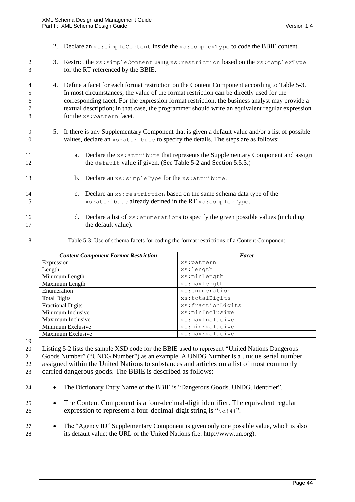| $\mathbf{1}$          | 2. Declare an xs: simpleContent inside the xs: complexType to code the BBIE content.                                                                                                                                                                                                                                                                                                                                         |
|-----------------------|------------------------------------------------------------------------------------------------------------------------------------------------------------------------------------------------------------------------------------------------------------------------------------------------------------------------------------------------------------------------------------------------------------------------------|
| 2<br>3                | 3. Restrict the xs: simpleContent using xs: restriction based on the xs: complexType<br>for the RT referenced by the BBIE.                                                                                                                                                                                                                                                                                                   |
| 4<br>5<br>6<br>7<br>8 | 4. Define a facet for each format restriction on the Content Component according to Table 5-3.<br>In most circumstances, the value of the format restriction can be directly used for the<br>corresponding facet. For the expression format restriction, the business analyst may provide a<br>textual description; in that case, the programmer should write an equivalent regular expression<br>for the xs: pattern facet. |
| 9<br>10               | 5. If there is any Supplementary Component that is given a default value and/or a list of possible<br>values, declare an xs: attribute to specify the details. The steps are as follows:                                                                                                                                                                                                                                     |
| 11<br>12              | a. Declare the xs: attribute that represents the Supplementary Component and assign<br>the default value if given. (See Table 5-2 and Section 5.5.3.)                                                                                                                                                                                                                                                                        |
| 13                    | b. Declare an xs: simpleType for the xs: attribute.                                                                                                                                                                                                                                                                                                                                                                          |
| 14<br>15              | c. Declare an xs: restriction based on the same schema data type of the<br>xs: attribute already defined in the RT xs: complexType.                                                                                                                                                                                                                                                                                          |
| 16<br>17              | d. Declare a list of $xs:$ enumerations to specify the given possible values (including<br>the default value).                                                                                                                                                                                                                                                                                                               |

<span id="page-43-0"></span>

Table 5-3: Use of schema facets for coding the format restrictions of a Content Component.

| <b>Content Component Format Restriction</b> | Facet             |
|---------------------------------------------|-------------------|
| Expression                                  | xs:pattern        |
| Length                                      | xs:length         |
| Minimum Length                              | xs:minLength      |
| Maximum Length                              | xs:maxLength      |
| Enumeration                                 | xs:enumeration    |
| <b>Total Digits</b>                         | xs:totalDigits    |
| <b>Fractional Digits</b>                    | xs:fractionDigits |
| Minimum Inclusive                           | xs:minInclusive   |
| Maximum Inclusive                           | xs:maxInclusive   |
| Minimum Exclusive                           | xs:minExclusive   |
| Maximum Exclusive                           | xs:maxExclusive   |

 [Listing 5-2](#page-44-1) lists the sample XSD code for the BBIE used to represent "United Nations Dangerous Goods Number" ("UNDG Number") as an example. A UNDG Number is a unique serial number assigned within the United Nations to substances and articles on a list of most commonly

carried dangerous goods. The BBIE is described as follows:

The Dictionary Entry Name of the BBIE is "Dangerous Goods. UNDG. Identifier".

 The Content Component is a four-decimal-digit identifier. The equivalent regular 26 expression to represent a four-decimal-digit string is " $\det$  4}".

27 • The "Agency ID" Supplementary Component is given only one possible value, which is also its default value: the URL of the United Nations (i.e. [http://www.un.org\)](http://www.un.org/).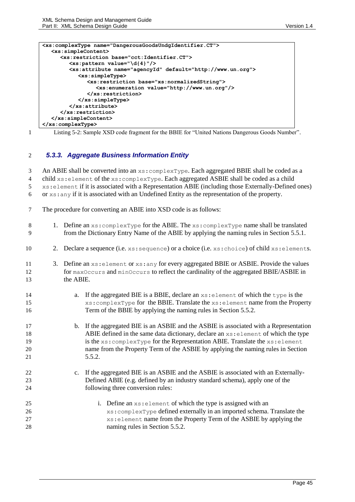```
<xs:complexType name="DangerousGoodsUndgIdentifier.CT">
  <xs:simpleContent>
     <xs:restriction base="cct:Identifier.CT">
        <xs:pattern value="\d{4}"/>
        <xs:attribute name="agencyId" default="http://www.un.org">
           <xs:simpleType>
              <xs:restriction base="xs:normalizedString">
                 <xs:enumeration value="http://www.un.org"/>
              </xs:restriction>
           </xs:simpleType>
        </xs:attribute>
     </xs:restriction>
  </xs:simpleContent>
</xs:complexType>
```
<span id="page-44-1"></span>

1 Listing 5-2: Sample XSD code fragment for the BBIE for "United Nations Dangerous Goods Number".

### <span id="page-44-0"></span>2 *5.3.3. Aggregate Business Information Entity*

3 An ABIE shall be converted into an xs: complexType. Each aggregated BBIE shall be coded as a 4 child xs: element of the xs: complexType. Each aggregated ASBIE shall be coded as a child 5 xs:element if it is associated with a Representation ABIE (including those Externally-Defined ones) 6 or xs:any if it is associated with an Undefined Entity as the representation of the property.

7 The procedure for converting an ABIE into XSD code is as follows:

| 1. Define an $xs:complexType$ for the ABIE. The $xs:complexType$ name shall be translated<br>$\,8\,$<br>from the Dictionary Entry Name of the ABIE by applying the naming rules in Section 5.5.1.<br>9<br>Declare a sequence (i.e. xs: sequence) or a choice (i.e. xs: choice) of child xs: elements.<br>10<br>2.<br>3. Define an xs: element or xs: any for every aggregated BBIE or ASBIE. Provide the values<br>11<br>for maxOccurs and minOccurs to reflect the cardinality of the aggregated BBIE/ASBIE in<br>12<br>the ABIE.<br>13<br>a. If the aggregated BIE is a BBIE, declare an xs: element of which the type is the<br>14<br>xs: complexType for the BBIE. Translate the xs: element name from the Property<br>15<br>Term of the BBIE by applying the naming rules in Section 5.5.2.<br>16<br>b. If the aggregated BIE is an ASBIE and the ASBIE is associated with a Representation<br>17<br>ABIE defined in the same data dictionary, declare an $xs$ : element of which the type<br>18<br>is the xs: complexType for the Representation ABIE. Translate the xs: element<br>19<br>name from the Property Term of the ASBIE by applying the naming rules in Section<br>20<br>5.5.2.<br>21<br>c. If the aggregated BIE is an ASBIE and the ASBIE is associated with an Externally-<br>22<br>Defined ABIE (e.g. defined by an industry standard schema), apply one of the<br>23<br>following three conversion rules:<br>24<br>i. Define an $xs$ : element of which the type is assigned with an<br>25<br>xs: complexType defined externally in an imported schema. Translate the<br>26<br>xs: element name from the Property Term of the ASBIE by applying the<br>27<br>naming rules in Section 5.5.2.<br>28 |  |  |
|-------------------------------------------------------------------------------------------------------------------------------------------------------------------------------------------------------------------------------------------------------------------------------------------------------------------------------------------------------------------------------------------------------------------------------------------------------------------------------------------------------------------------------------------------------------------------------------------------------------------------------------------------------------------------------------------------------------------------------------------------------------------------------------------------------------------------------------------------------------------------------------------------------------------------------------------------------------------------------------------------------------------------------------------------------------------------------------------------------------------------------------------------------------------------------------------------------------------------------------------------------------------------------------------------------------------------------------------------------------------------------------------------------------------------------------------------------------------------------------------------------------------------------------------------------------------------------------------------------------------------------------------------------------------------------------------------------------------------|--|--|
|                                                                                                                                                                                                                                                                                                                                                                                                                                                                                                                                                                                                                                                                                                                                                                                                                                                                                                                                                                                                                                                                                                                                                                                                                                                                                                                                                                                                                                                                                                                                                                                                                                                                                                                         |  |  |
|                                                                                                                                                                                                                                                                                                                                                                                                                                                                                                                                                                                                                                                                                                                                                                                                                                                                                                                                                                                                                                                                                                                                                                                                                                                                                                                                                                                                                                                                                                                                                                                                                                                                                                                         |  |  |
|                                                                                                                                                                                                                                                                                                                                                                                                                                                                                                                                                                                                                                                                                                                                                                                                                                                                                                                                                                                                                                                                                                                                                                                                                                                                                                                                                                                                                                                                                                                                                                                                                                                                                                                         |  |  |
|                                                                                                                                                                                                                                                                                                                                                                                                                                                                                                                                                                                                                                                                                                                                                                                                                                                                                                                                                                                                                                                                                                                                                                                                                                                                                                                                                                                                                                                                                                                                                                                                                                                                                                                         |  |  |
|                                                                                                                                                                                                                                                                                                                                                                                                                                                                                                                                                                                                                                                                                                                                                                                                                                                                                                                                                                                                                                                                                                                                                                                                                                                                                                                                                                                                                                                                                                                                                                                                                                                                                                                         |  |  |
|                                                                                                                                                                                                                                                                                                                                                                                                                                                                                                                                                                                                                                                                                                                                                                                                                                                                                                                                                                                                                                                                                                                                                                                                                                                                                                                                                                                                                                                                                                                                                                                                                                                                                                                         |  |  |
|                                                                                                                                                                                                                                                                                                                                                                                                                                                                                                                                                                                                                                                                                                                                                                                                                                                                                                                                                                                                                                                                                                                                                                                                                                                                                                                                                                                                                                                                                                                                                                                                                                                                                                                         |  |  |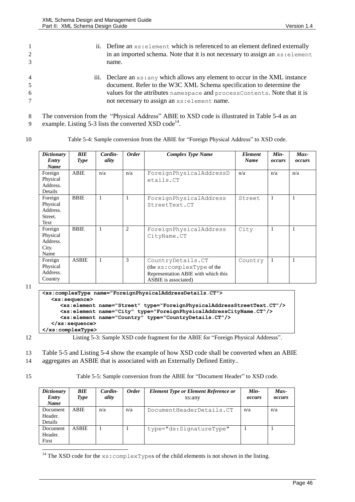| $\mathbf{1}$   | ii. Define an $xs:$ element which is referenced to an element defined externally |
|----------------|----------------------------------------------------------------------------------|
| 2              | in an imported schema. Note that it is not necessary to assign an $xs$ : element |
| 3              | name.                                                                            |
| $\overline{4}$ | iii. Declare an xs: any which allows any element to occur in the XML instance    |
| 5              | document. Refer to the W3C XML Schema specification to determine the             |
| 6              | values for the attributes namespace and processContents. Note that it is         |
| $\tau$         | not necessary to assign an $xs$ : element name.                                  |
|                |                                                                                  |

9 example. [Listing 5-3](#page-45-1) lists the converted XSD code<sup>14</sup>.

| ٠ | ۰.<br>۰. |
|---|----------|
|   |          |

<span id="page-45-0"></span>

| Table 5-4: Sample conversion from the ABIE for "Foreign Physical Address" to XSD code.<br>10 |  |
|----------------------------------------------------------------------------------------------|--|
|----------------------------------------------------------------------------------------------|--|

| <b>Dictionary</b><br>Entry<br><b>Name</b>          | BIE<br><b>Type</b> | Cardin-<br>ality | <b>Order</b>   | <b>Complex Type Name</b>                                                                                        | <b>Element</b><br><b>Name</b> | $Min-$<br>occurs | $Max-$<br>occurs |
|----------------------------------------------------|--------------------|------------------|----------------|-----------------------------------------------------------------------------------------------------------------|-------------------------------|------------------|------------------|
| Foreign<br>Physical<br>Address.<br>Details         | <b>ABIE</b>        | n/a              | n/a            | ForeignPhysicalAddressD<br>etails.CT                                                                            | n/a                           | n/a              | n/a              |
| Foreign<br>Physical<br>Address.<br>Street.<br>Text | <b>BBIE</b>        | 1                | $\mathbf{1}$   | ForeignPhysicalAddress<br>StreetText.CT                                                                         | Street                        | 1                |                  |
| Foreign<br>Physical<br>Address.<br>City.<br>Name   | <b>BBIE</b>        | 1                | $\overline{2}$ | ForeignPhysicalAddress<br>CityName.CT                                                                           | City                          | $\mathbf{1}$     | 1                |
| Foreign<br>Physical<br>Address.<br>Country         | <b>ASBIE</b>       | $\mathbf{1}$     | 3              | CountryDetails.CT<br>(the xs: complexType of the<br>Representation ABIE with which this<br>ASBIE is associated) | Country                       |                  | $\mathbf{1}$     |

11

|                                         | <xs:complextype name="ForeignPhysicalAddressDetails.CT"></xs:complextype>          |
|-----------------------------------------|------------------------------------------------------------------------------------|
| $\langle xs:sequence \rangle$           |                                                                                    |
|                                         | <xs:element name="Street" type="ForeignPhysicalAddressStreetText.CT"></xs:element> |
|                                         | <xs:element name="City" type="ForeignPhysicalAddressCityName.CT"></xs:element>     |
|                                         | <xs:element name="Country" type="CountryDetails.CT"></xs:element>                  |
| $\langle x s : \text{sequence} \rangle$ |                                                                                    |
|                                         |                                                                                    |
|                                         |                                                                                    |

<span id="page-45-1"></span>12 Listing 5-3: Sample XSD code fragment for the ABIE for "Foreign Physical Addresss".

13 [Table 5-5](#page-45-2) an[d Listing 5-4](#page-46-2) show the example of how XSD code shall be converted when an ABIE 14 aggregates an ASBIE that is associated with an Externally Defined Entity..

 $\overline{a}$ 

15 Table 5-5: Sample conversion from the ABIE for "Document Header" to XSD code.

<span id="page-45-2"></span>

| <b>Dictionary</b><br>Entry<br>Name | <b>BIE</b><br>Type | Cardin-<br>ality | <b>Order</b> | <b>Element Type or Element Reference or</b><br>xs:any | Min-<br>occurs | $Max-$<br>occurs |
|------------------------------------|--------------------|------------------|--------------|-------------------------------------------------------|----------------|------------------|
| Document<br>Header.<br>Details     | <b>ABIE</b>        | n/a              | n/a          | DocumentHeaderDetails.CT                              | n/a            | n/a              |
| Document<br>Header.<br>First       | <b>ASBIE</b>       |                  |              | type="ds:SignatureType"                               |                |                  |

<sup>14</sup> The XSD code for the  $xs:complexTypes$  of the child elements is not shown in the listing.

<sup>8</sup> The conversion from the "Physical Address" ABIE to XSD code is illustrated i[n Table 5-4](#page-45-0) as an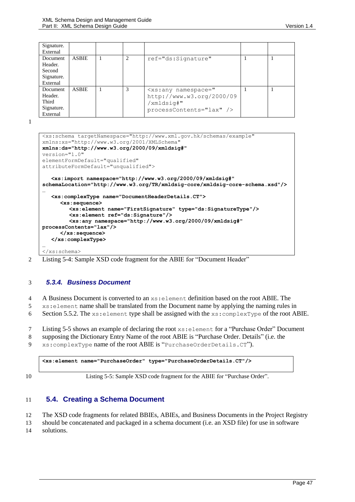| Signature. |              |   |                              |  |
|------------|--------------|---|------------------------------|--|
| External   |              |   |                              |  |
| Document   | <b>ASBIE</b> | 2 | ref="ds:Signature"           |  |
| Header.    |              |   |                              |  |
| Second     |              |   |                              |  |
| Signature. |              |   |                              |  |
| External   |              |   |                              |  |
| Document   | <b>ASBIE</b> | 3 | $\langle xs:any$ namespace=" |  |
| Header.    |              |   | http://www.w3.org/2000/09    |  |
| Third      |              |   | /xmldsig#"                   |  |
| Signature. |              |   | $processContents="lax"$ />   |  |
| External   |              |   |                              |  |

1

```
<xs:schema targetNamespace="http://www.xml.gov.hk/schemas/example"
xmlns:xs="http://www.w3.org/2001/XMLSchema" 
xmlns:ds="http://www.w3.org/2000/09/xmldsig#"
version="1.0"
elementFormDefault="qualified" 
attributeFormDefault="unqualified">
   <xs:import namespace="http://www.w3.org/2000/09/xmldsig#" 
schemaLocation="http://www.w3.org/TR/xmldsig-core/xmldsig-core-schema.xsd"/>
…
   <xs:complexType name="DocumentHeaderDetails.CT">
     <xs:sequence>
        <xs:element name="FirstSignature" type="ds:SignatureType"/>
        <xs:element ref="ds:Signature"/>
        <xs:any namespace="http://www.w3.org/2000/09/xmldsig#" 
processContents="lax"/>
     </xs:sequence>
   </xs:complexType>
…
</xs:schema>
```
<span id="page-46-2"></span>2 Listing 5-4: Sample XSD code fragment for the ABIE for "Document Header"

### <span id="page-46-0"></span>3 *5.3.4. Business Document*

4 A Business Document is converted to an xs:element definition based on the root ABIE. The

5 xs:element name shall be translated from the Document name by applying the naming rules in

6 Sectio[n 5.5.2.](#page-51-0) The  $xs$ : element type shall be assigned with the  $xs$ : complexType of the root ABIE.

7 [Listing 5-5](#page-46-3) shows an example of declaring the root xs:element for a "Purchase Order" Document

8 supposing the Dictionary Entry Name of the root ABIE is "Purchase Order. Details" (i.e. the

9 xs:complexType name of the root ABIE is "PurchaseOrderDetails.CT").

<span id="page-46-3"></span>**<xs:element name="PurchaseOrder" type="PurchaseOrderDetails.CT"/>**

10 Listing 5-5: Sample XSD code fragment for the ABIE for "Purchase Order".

### <span id="page-46-1"></span>11 **5.4. Creating a Schema Document**

12 The XSD code fragments for related BBIEs, ABIEs, and Business Documents in the Project Registry

13 should be concatenated and packaged in a schema document (i.e. an XSD file) for use in software

14 solutions.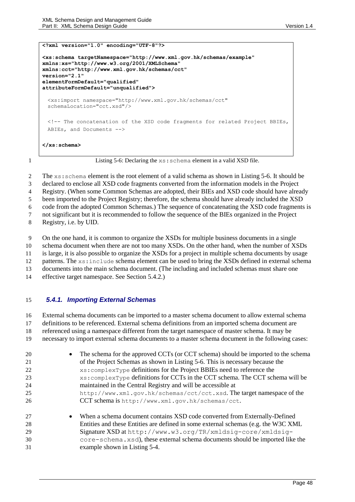```
<?xml version="1.0" encoding="UTF-8"?>
<xs:schema targetNamespace="http://www.xml.gov.hk/schemas/example" 
xmlns:xs="http://www.w3.org/2001/XMLSchema" 
xmlns:cct="http://www.xml.gov.hk/schemas/cct"
version="2.1"
elementFormDefault="qualified" 
attributeFormDefault="unqualified">
 <xs:import namespace="http://www.xml.gov.hk/schemas/cct" 
 schemaLocation="cct.xsd"/>
 <!-- The concatenation of the XSD code fragments for related Project BBIEs, 
 ABIEs, and Documents -->
</xs:schema>
```
<span id="page-47-0"></span>1 Listing 5-6: Declaring the xs: schema element in a valid XSD file.

2 The xs: schema element is the root element of a valid schema as shown in [Listing 5-6.](#page-47-0) It should be

declared to enclose all XSD code fragments converted from the information models in the Project

Registry. (When some Common Schemas are adopted, their BIEs and XSD code should have already

been imported to the Project Registry; therefore, the schema should have already included the XSD

code from the adopted Common Schemas.) The sequence of concatenating the XSD code fragments is

not significant but it is recommended to follow the sequence of the BIEs organized in the Project

Registry, i.e. by UID.

On the one hand, it is common to organize the XSDs for multiple business documents in a single

schema document when there are not too many XSDs. On the other hand, when the number of XSDs

is large, it is also possible to organize the XSDs for a project in multiple schema documents by usage

12 patterns. The xs:include schema element can be used to bring the XSDs defined in external schema

documents into the main schema document. (The including and included schemas must share one

effective target namespace. See Section [5.4.2.](#page-48-0))

### *5.4.1. Importing External Schemas*

External schema documents can be imported to a master schema document to allow external schema

definitions to be referenced. External schema definitions from an imported schema document are

referenced using a namespace different from the target namespace of master schema. It may be

necessary to import external schema documents to a master schema document in the following cases:

- **The schema for the approved CCTs (or CCT schema) should be imported to the schema**  of the Project Schemas as shown in [Listing 5-6.](#page-47-0) This is necessary because the xs:complexType definitions for the Project BBIEs need to reference the xs:complexType definitions for CCTs in the CCT schema. The CCT schema will be maintained in the Central Registry and will be accessible at http://www.xml.gov.hk/schemas/cct/cct.xsd. The target namespace of the CCT schema is <http://www.xml.gov.hk/schemas/cct>. **When a schema document contains XSD code converted from Externally-Defined** Entities and these Entities are defined in some external schemas (e.g. the W3C XML
- Signature XSD at http://www.w3.org/TR/xmldsig-core/xmldsig- core-schema.xsd), these external schema documents should be imported like the example shown i[n Listing 5-4.](#page-46-2)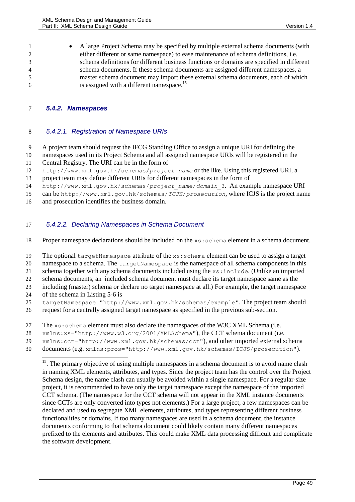1 • A large Project Schema may be specified by multiple external schema documents (with either different or same namespace) to ease maintenance of schema definitions, i.e. schema definitions for different business functions or domains are specified in different schema documents. If these schema documents are assigned different namespaces, a master schema document may import these external schema documents, each of which is assigned with a different namespace.<sup>15</sup> 6

### <span id="page-48-0"></span>7 *5.4.2. Namespaces*

### 8 *5.4.2.1. Registration of Namespace URIs*

9 A project team should request the IFCG Standing Office to assign a unique URI for defining the

- 10 namespaces used in its Project Schema and all assigned namespace URIs will be registered in the
- 11 Central Registry. The URI can be in the form of
- 12 http://www.xml.gov.hk/schemas/*project\_name* or the like. Using this registered URI, a
- 13 project team may define different URIs for different namespaces in the form of
- 14 http://www.xml.gov.hk/schemas/*project\_name*/*domain\_1*. An example namespace URI

15 can be http://www.xml.gov.hk/schemas/*ICJS*/*prosecution*, where ICJS is the project name

16 and prosecution identifies the business domain.

### 17 *5.4.2.2. Declaring Namespaces in Schema Document*

18 Proper namespace declarations should be included on the xs:schema element in a schema document.

19 The optional targetNamespace attribute of the xs:schema element can be used to assign a target

20 namespace to a schema. The targetNamespace is the namespace of all schema components in this

21 schema together with any schema documents included using the  $x_s$ : include. (Unlike an imported

22 schema documents, an included schema document must declare its target namespace same as the

- 23 including (master) schema or declare no target namespace at all.) For example, the target namespace
- 24 of the schema in [Listing 5-6](#page-47-0) is

l

25 targetNamespace="http://www.xml.gov.hk/schemas/example". The project team should

26 request for a centrally assigned target namespace as specified in the previous sub-section.

- 27 The xs:schema element must also declare the namespaces of the W3C XML Schema (i.e.
- 28 xmlns:xs="http://www.w3.org/2001/XMLSchema"), the CCT schema document (i.e.
- 29 xmlns:cct="http://www.xml.gov.hk/schemas/cct"), and other imported external schema
- 30 documents (e.g. xmlns:pros="http://www.xml.gov.hk/schemas/ICJS/prosecution").

<sup>&</sup>lt;sup>15</sup>. The primary objective of using multiple namespaces in a schema document is to avoid name clash in naming XML elements, attributes, and types. Since the project team has the control over the Project Schema design, the name clash can usually be avoided within a single namespace. For a regular-size project, it is recommended to have only the target namespace except the namespace of the imported CCT schema. (The namespace for the CCT schema will not appear in the XML instance documents since CCTs are only converted into types not elements.) For a large project, a few namespaces can be declared and used to segregate XML elements, attributes, and types representing different business functionalities or domains. If too many namespaces are used in a schema document, the instance documents conforming to that schema document could likely contain many different namespaces prefixed to the elements and attributes. This could make XML data processing difficult and complicate the software development.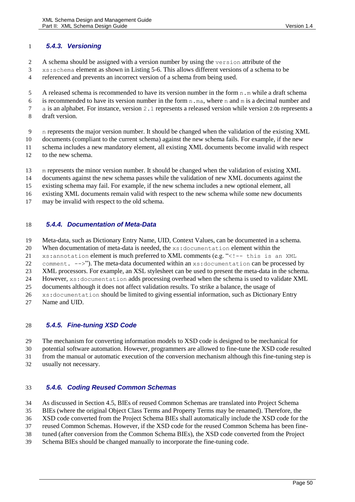### *5.4.3. Versioning*

- A schema should be assigned with a version number by using the version attribute of the
- xs:schema element as shown in [Listing 5-6.](#page-47-0) This allows different versions of a schema to be referenced and prevents an incorrect version of a schema from being used.
- 5 A released schema is recommended to have its version number in the form  $n \cdot m$  while a draft schema
- 6 is recommended to have its version number in the form  $n \cdot ma$ , where n and m is a decimal number and
- a is an alphabet. For instance, version 2.1 represents a released version while version 2.0b represents a
- draft version.
- n represents the major version number. It should be changed when the validation of the existing XML
- documents (compliant to the current schema) against the new schema fails. For example, if the new
- schema includes a new mandatory element, all existing XML documents become invalid with respect
- to the new schema.
- m represents the minor version number. It should be changed when the validation of existing XML
- documents against the new schema passes while the validation of new XML documents against the
- existing schema may fail. For example, if the new schema includes a new optional element, all
- existing XML documents remain valid with respect to the new schema while some new documents
- may be invalid with respect to the old schema.

### *5.4.4. Documentation of Meta-Data*

- Meta-data, such as Dictionary Entry Name, UID, Context Values, can be documented in a schema.
- When documentation of meta-data is needed, the xs:documentation element within the
- xs:annotation element is much preferred to XML comments (e.g. "<!-- this is an XML
- 22 comment.  $--$  >"). The meta-data documented within an  $xs:$  documentation can be processed by
- XML processors. For example, an XSL stylesheet can be used to present the meta-data in the schema.
- However, xs:documentation adds processing overhead when the schema is used to validate XML
- documents although it does not affect validation results. To strike a balance, the usage of
- xs:documentation should be limited to giving essential information, such as Dictionary Entry
- Name and UID.

### *5.4.5. Fine-tuning XSD Code*

- The mechanism for converting information models to XSD code is designed to be mechanical for
- potential software automation. However, programmers are allowed to fine-tune the XSD code resulted
- from the manual or automatic execution of the conversion mechanism although this fine-tuning step is
- usually not necessary.

### *5.4.6. Coding Reused Common Schemas*

- As discussed in Section [4.5,](#page-37-1) BIEs of reused Common Schemas are translated into Project Schema
- BIEs (where the original Object Class Terms and Property Terms may be renamed). Therefore, the
- XSD code converted from the Project Schema BIEs shall automatically include the XSD code for the
- reused Common Schemas. However, if the XSD code for the reused Common Schema has been fine-
- tuned (after conversion from the Common Schema BIEs), the XSD code converted from the Project
- Schema BIEs should be changed manually to incorporate the fine-tuning code.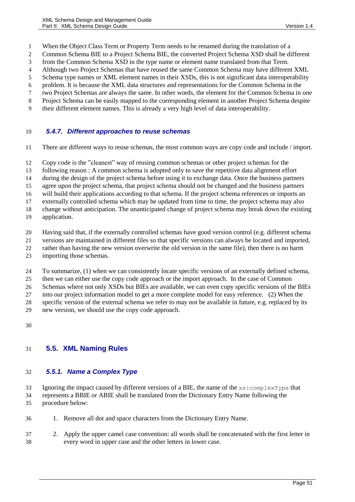- When the Object Class Term or Property Term needs to be renamed during the translation of a
- Common Schema BIE to a Project Schema BIE, the converted Project Schema XSD shall be different
- from the Common Schema XSD in the type name or element name translated from that Term.
- Although two Project Schemas that have reused the same Common Schema may have different XML
- Schema type names or XML element names in their XSDs, this is not significant data interoperability
- problem. It is because the XML data structures and representations for the Common Schema in the two Project Schemas are always the same. In other words, the element for the Common Schema in one
- Project Schema can be easily mapped to the corresponding element in another Project Schema despite
- their different element names. This is already a very high level of data interoperability.

### *5.4.7. Different approaches to reuse schemas*

- There are different ways to reuse schemas, the most common ways are copy code and include / import.
- Copy code is the "cleanest" way of reusing common schemas or other project schemas for the
- following reason : A common schema is adopted only to save the repetitive data alignment effort
- during the design of the project schema before using it to exchange data. Once the business partners
- agree upon the project schema, that project schema should not be changed and the business partners
- will build their applications according to that schema. If the project schema references or imports an
- externally controlled schema which may be updated from time to time, the project schema may also
- change without anticipation. The unanticipated change of project schema may break down the existing
- application.
- Having said that, if the externally controlled schemas have good version control (e.g. different schema
- versions are maintained in different files so that specific versions can always be located and imported,
- rather than having the new version overwrite the old version in the same file), then there is no harm
- importing those schemas.
- To summarize, (1) when we can consistently locate specific versions of an externally defined schema,
- then we can either use the copy code approach or the import approach. In the case of Common
- Schemas where not only XSDs but BIEs are available, we can even copy specific versions of the BIEs
- into our project information model to get a more complete model for easy reference. (2) When the
- specific version of the external schema we refer to may not be available in future, e.g. replaced by its
- new version, we should use the copy code approach.
- 

### **5.5. XML Naming Rules**

### <span id="page-50-0"></span>*5.5.1. Name a Complex Type*

- Ignoring the impact caused by different versions of a BIE, the name of the xs:complexType that represents a BBIE or ABIE shall be translated from the Dictionary Entry Name following the
- procedure below:
- 1. Remove all dot and space characters from the Dictionary Entry Name.
- 2. Apply the upper camel case convention: all words shall be concatenated with the first letter in every word in upper case and the other letters in lower case.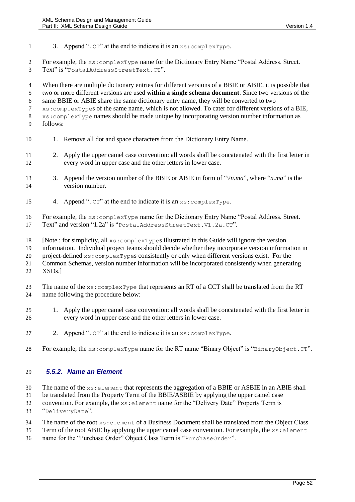1 3. Append ".CT" at the end to indicate it is an  $xs:complexType$ .

 For example, the xs:complexType name for the Dictionary Entry Name "Postal Address. Street. Text" is "PostalAddressStreetText.CT".

 When there are multiple dictionary entries for different versions of a BBIE or ABIE, it is possible that two or more different versions are used **within a single schema document**. Since two versions of the same BBIE or ABIE share the same dictionary entry name, they will be converted to two xs:complexTypes of the same name, which is not allowed. To cater for different versions of a BIE, xs:complexType names should be made unique by incorporating version number information as follows:

- 10 1. Remove all dot and space characters from the Dictionary Entry Name.
- 2. Apply the upper camel case convention: all words shall be concatenated with the first letter in every word in upper case and the other letters in lower case.
- 3. Append the version number of the BBIE or ABIE in form of "V*n.ma*", where "*n.ma*" is the version number.
- 4. Append ".CT" at the end to indicate it is an xs:complexType.
- For example, the xs:complexType name for the Dictionary Entry Name "Postal Address. Street.
- Text" and version "1.2a" is "PostalAddressStreetText.V1.2a.CT".
- [Note : for simplicity, all xs:complexTypes illustrated in this Guide will ignore the version
- information. Individual project teams should decide whether they incorporate version information in
- project-defined xs:complexTypes consistently or only when different versions exist. For the
- Common Schemas, version number information will be incorporated consistently when generating XSDs.]
- 23 The name of the xs: complexType that represents an RT of a CCT shall be translated from the RT name following the procedure below:
- 1. Apply the upper camel case convention: all words shall be concatenated with the first letter in every word in upper case and the other letters in lower case.
- 27 2. Append ". $CT$ " at the end to indicate it is an  $xs:complexType$ .
- 28 For example, the xs: complexType name for the RT name "Binary Object" is "BinaryObject.CT".

### <span id="page-51-0"></span>*5.5.2. Name an Element*

- 30 The name of the  $xs:$  element that represents the aggregation of a BBIE or ASBIE in an ABIE shall
- be translated from the Property Term of the BBIE/ASBIE by applying the upper camel case
- convention. For example, the xs:element name for the "Delivery Date" Property Term is
- "DeliveryDate".
- 34 The name of the root  $xs:$  element of a Business Document shall be translated from the Object Class
- Term of the root ABIE by applying the upper camel case convention. For example, the xs:element
- name for the "Purchase Order" Object Class Term is "PurchaseOrder".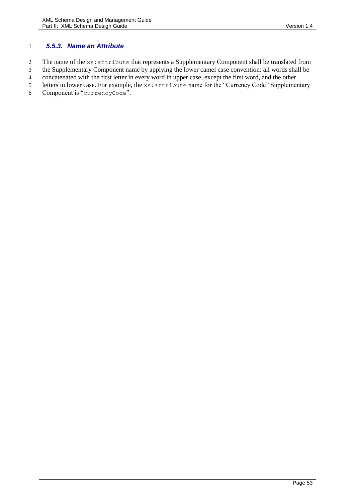### <span id="page-52-0"></span>1 *5.5.3. Name an Attribute*

2 The name of the xs: attribute that represents a Supplementary Component shall be translated from

- 3 the Supplementary Component name by applying the lower camel case convention: all words shall be
- 4 concatenated with the first letter in every word in upper case, except the first word, and the other
- 5 letters in lower case. For example, the xs:attribute name for the "Currency Code" Supplementary
- 6 Component is "currencyCode".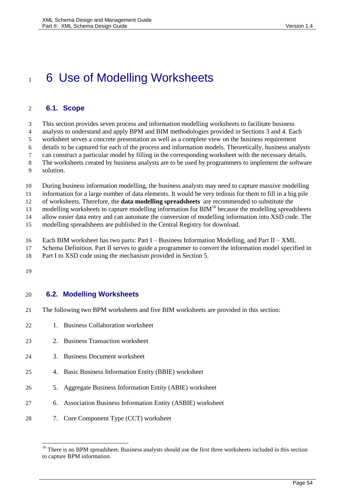# 1 6 Use of Modelling Worksheets

### **6.1. Scope**

This section provides seven process and information modelling worksheets to facilitate business

analysts to understand and apply BPM and BIM methodologies provided in Sections [3](#page-12-0) and [4.](#page-20-0) Each

worksheet serves a concrete presentation as well as a complete view on the business requirement

details to be captured for each of the process and information models. Theoretically, business analysts

can construct a particular model by filling in the corresponding worksheet with the necessary details.

- The worksheets created by business analysts are to be used by programmers to implement the software solution.
- During business information modelling, the business analysts may need to capture massive modelling

information for a large number of data elements. It would be very tedious for them to fill in a big pile

of worksheets. Therefore, the **data modelling spreadsheets** are recommended to substitute the

13 modelling worksheets to capture modelling information for BIM<sup>16</sup> because the modelling spreadsheets

allow easier data entry and can automate the conversion of modelling information into XSD code. The

modelling spreadsheets are published in the Central Registry for download.

- Each BIM worksheet has two parts: Part I Business Information Modelling, and Part II XML
- Schema Definition. Part II serves to guide a programmer to convert the information model specified in
- Part I to XSD code using the mechanism provided in Section [5.](#page-39-0)
- 

 $\overline{a}$ 

### **6.2. Modelling Worksheets**

- The following two BPM worksheets and five BIM worksheets are provided in this section:
- 1. Business Collaboration worksheet
- 2. Business Transaction worksheet
- 3. Business Document worksheet
- 4. Basic Business Information Entity (BBIE) worksheet
- 5. Aggregate Business Information Entity (ABIE) worksheet
- 6. Association Business Information Entity (ASBIE) worksheet
- 7. Core Component Type (CCT) worksheet

<sup>&</sup>lt;sup>16</sup> There is no BPM spreadsheet. Business analysts should use the first three worksheets included in this section to capture BPM information.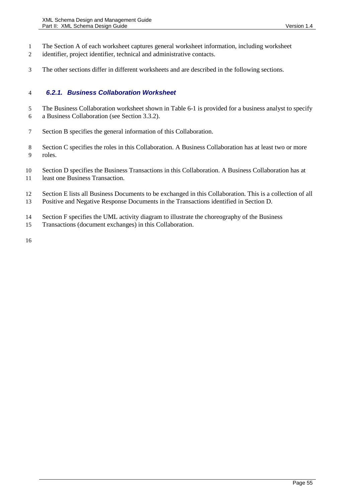- The Section A of each worksheet captures general worksheet information, including worksheet
- identifier, project identifier, technical and administrative contacts.
- The other sections differ in different worksheets and are described in the following sections.

### *6.2.1. Business Collaboration Worksheet*

- The Business Collaboration worksheet shown in [Table 6-1](#page-55-0) is provided for a business analyst to specify
- a Business Collaboration (see Section [3.3.2\)](#page-14-0).
- Section B specifies the general information of this Collaboration.
- Section C specifies the roles in this Collaboration. A Business Collaboration has at least two or more roles.
- Section D specifies the Business Transactions in this Collaboration. A Business Collaboration has at least one Business Transaction.
- Section E lists all Business Documents to be exchanged in this Collaboration. This is a collection of all Positive and Negative Response Documents in the Transactions identified in Section D.
- Section F specifies the UML activity diagram to illustrate the choreography of the Business
- Transactions (document exchanges) in this Collaboration.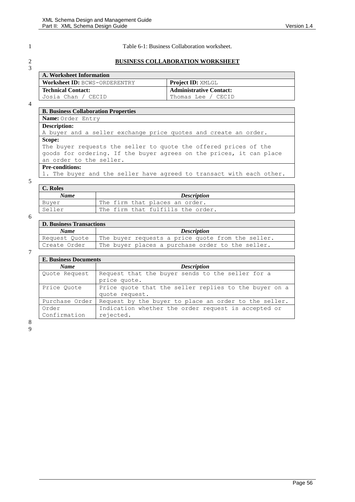3

<span id="page-55-0"></span>1 Table 6-1: Business Collaboration worksheet.

### 2 **BUSINESS COLLABORATION WORKSHEET**

| A. Worksheet Information      |                                |  |
|-------------------------------|--------------------------------|--|
| Worksheet ID: BCWS-ORDERENTRY | <b>Project ID: XMLGL</b>       |  |
| Technical Contact:            | <b>Administrative Contact:</b> |  |
| Josia Chan / CECID            | Thomas Lee / CECID             |  |

4

### **B. Business Collaboration Properties**

**Name:** Order Entry **Description:** A buyer and a seller exchange price quotes and create an order. **Scope:** The buyer requests the seller to quote the offered prices of the goods for ordering. If the buyer agrees on the prices, it can place an order to the seller. **Pre-conditions:**

1. The buyer and the seller have agreed to transact with each other.

### 5

| C. Roles    |                                   |  |
|-------------|-----------------------------------|--|
| <b>Name</b> | <b>Description</b>                |  |
| Buyer       | The firm that places an order.    |  |
| Seller      | The firm that fulfills the order. |  |

### 6

| <b>D. Business Transactions</b> |                                                   |  |  |  |
|---------------------------------|---------------------------------------------------|--|--|--|
| <b>Name</b>                     | <i>Description</i>                                |  |  |  |
| Request Quote                   | The buyer requests a price quote from the seller. |  |  |  |
| Create Order                    | The buyer places a purchase order to the seller.  |  |  |  |

7

| <b>E. Business Documents</b> |                                                                         |  |
|------------------------------|-------------------------------------------------------------------------|--|
| <b>Name</b>                  | <b>Description</b>                                                      |  |
| Quote Request                | Request that the buyer sends to the seller for a<br>price quote.        |  |
| Price Ouote                  | Price quote that the seller replies to the buyer on a<br>quote request. |  |
| Purchase Order               | Request by the buyer to place an order to the seller.                   |  |
| Order<br>Confirmation        | Indication whether the order request is accepted or<br>rejected.        |  |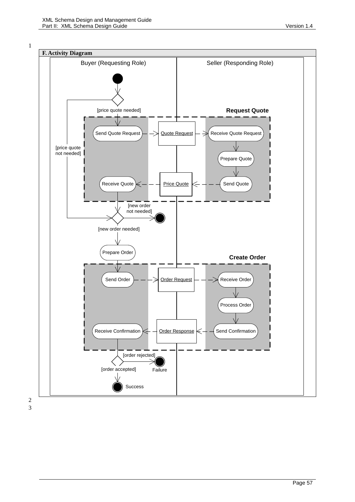

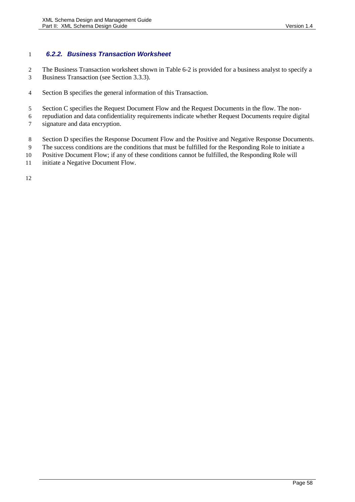### *6.2.2. Business Transaction Worksheet*

The Business Transaction worksheet shown in [Table 6-2](#page-58-0) is provided for a business analyst to specify a

- Business Transaction (see Sectio[n 3.3.3\)](#page-16-0).
- Section B specifies the general information of this Transaction.
- Section C specifies the Request Document Flow and the Request Documents in the flow. The non-
- repudiation and data confidentiality requirements indicate whether Request Documents require digital signature and data encryption.
- 8 Section D specifies the Response Document Flow and the Positive and Negative Response Documents.
- The success conditions are the conditions that must be fulfilled for the Responding Role to initiate a
- Positive Document Flow; if any of these conditions cannot be fulfilled, the Responding Role will
- 11 initiate a Negative Document Flow.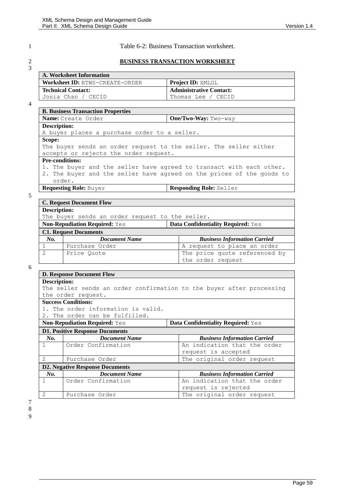### <span id="page-58-0"></span>1 Table 6-2: Business Transaction worksheet.

# 3

### 2 **BUSINESS TRANSACTION WORKSHEET**

| A. Worksheet Information        |                                |  |
|---------------------------------|--------------------------------|--|
| Worksheet ID: BTWS-CREATE-ORDER | <b>Project ID: XMLGL</b>       |  |
| Technical Contact:              | <b>Administrative Contact:</b> |  |
| Josia Chan / CECID              | Thomas Lee / CECID             |  |

### 4

| <b>B. Business Transaction Properties</b>                             |  |  |
|-----------------------------------------------------------------------|--|--|
| One/Two-Way: Two-way<br>Name: Create Order                            |  |  |
| Description:                                                          |  |  |
| A buyer places a purchase order to a seller.                          |  |  |
| Scope:                                                                |  |  |
| The buyer sends an order request to the seller. The seller either     |  |  |
| accepts or rejects the order request.                                 |  |  |
| <b>Pre-conditions:</b>                                                |  |  |
| 1. The buyer and the seller have agreed to transact with each other.  |  |  |
| 2. The buyer and the seller have agreed on the prices of the goods to |  |  |
| order.                                                                |  |  |
| <b>Requesting Role: Buyer</b><br><b>Responding Role: Seller</b>       |  |  |

### 5

|                     | <b>C. Request Document Flow</b>                                            |  |                                     |
|---------------------|----------------------------------------------------------------------------|--|-------------------------------------|
| <b>Description:</b> |                                                                            |  |                                     |
|                     | The buyer sends an order request to the seller.                            |  |                                     |
|                     | Data Confidentiality Required: Yes<br><b>Non-Repudiation Required: Yes</b> |  |                                     |
|                     | <b>C1. Request Documents</b>                                               |  |                                     |
| No.                 | <b>Document Name</b>                                                       |  | <b>Business Information Carried</b> |
| 1                   | Purchase Order                                                             |  | A request to place an order         |
| $\overline{2}$      | Price Ouote                                                                |  | The price quote referenced by       |
|                     |                                                                            |  | the order request                   |

### 6

|                                                                            | <b>D. Response Document Flow</b>             |                                                                      |
|----------------------------------------------------------------------------|----------------------------------------------|----------------------------------------------------------------------|
| Description:                                                               |                                              |                                                                      |
|                                                                            |                                              | The seller sends an order confirmation to the buyer after processing |
|                                                                            | the order request.                           |                                                                      |
|                                                                            | <b>Success Conditions:</b>                   |                                                                      |
|                                                                            | 1. The order information is valid.           |                                                                      |
|                                                                            | 2. The order can be fulfilled.               |                                                                      |
| Data Confidentiality Required: Yes<br><b>Non-Repudiation Required:</b> Yes |                                              |                                                                      |
| <b>D1. Positive Response Documents</b>                                     |                                              |                                                                      |
| No.                                                                        | <b>Document Name</b>                         | <b>Business Information Carried</b>                                  |
| $\mathbf{1}$                                                               | Order Confirmation                           | An indication that the order                                         |
|                                                                            |                                              | request is accepted                                                  |
| $\mathcal{L}$                                                              | The original order request<br>Purchase Order |                                                                      |
|                                                                            | <b>D2. Negative Response Documents</b>       |                                                                      |
| No.                                                                        | <b>Document Name</b>                         | <b>Business Information Carried</b>                                  |
| $\mathbf{1}$                                                               | Order Confirmation                           | An indication that the order                                         |
|                                                                            |                                              | request is rejected                                                  |
| $\mathcal{D}_{\mathcal{L}}$                                                | Purchase Order                               | The original order request                                           |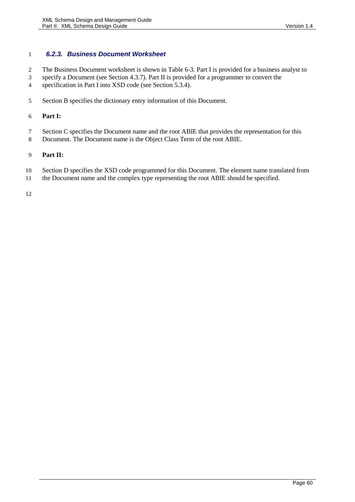### *6.2.3. Business Document Worksheet*

- The Business Document worksheet is shown in [Table 6-3.](#page-60-0) Part I is provided for a business analyst to
- specify a Document (see Section [4.3.7\)](#page-32-0). Part II is provided for a programmer to convert the
- 4 specification in Part I into XSD code (see Section [5.3.4\)](#page-46-0).
- Section B specifies the dictionary entry information of this Document.

### **Part I:**

- Section C specifies the Document name and the root ABIE that provides the representation for this
- Document. The Document name is the Object Class Term of the root ABIE.

### **Part II:**

- Section D specifies the XSD code programmed for this Document. The element name translated from
- the Document name and the complex type representing the root ABIE should be specified.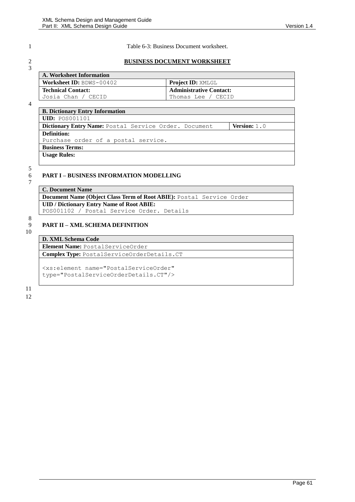### <span id="page-60-0"></span>1 Table 6-3: Business Document worksheet.

### 2 **BUSINESS DOCUMENT WORKSHEET**

| A. Worksheet Information        |                                |  |
|---------------------------------|--------------------------------|--|
| <b>Worksheet ID:</b> BDWS-00402 | <b>Project ID:</b> XMLGL       |  |
| <b>Technical Contact:</b>       | <b>Administrative Contact:</b> |  |
| Josia Chan / CECID              | Thomas Lee / CECID             |  |

4

3

| <b>B. Dictionary Entry Information</b>                |                       |  |
|-------------------------------------------------------|-----------------------|--|
| $\vert$ $\text{UID: }$ $\texttt{POS001101}$           |                       |  |
| Dictionary Entry Name: Postal Service Order. Document | <b>Version:</b> $1.0$ |  |
| <b>Definition:</b>                                    |                       |  |
| Purchase order of a postal service.                   |                       |  |
| <b>Business Terms:</b>                                |                       |  |
| <b>Usage Rules:</b>                                   |                       |  |
|                                                       |                       |  |

### 5

### 6 **PART I – BUSINESS INFORMATION MODELLING**

 $\overline{7}$ 

| C. Document Name                                                     |  |  |  |
|----------------------------------------------------------------------|--|--|--|
| Document Name (Object Class Term of Root ABIE): Postal Service Order |  |  |  |
| <b>UID</b> / Dictionary Entry Name of Root ABIE:                     |  |  |  |
| POS001102 / Postal Service Order. Details                            |  |  |  |

8

### 9 **PART II – XML SCHEMA DEFINITION**

10

### **D. XML Schema Code Element Name:** PostalServiceOrder

**Complex Type:** PostalServiceOrderDetails.CT

<xs:element name="PostalServiceOrder" type="PostalServiceOrderDetails.CT"/>

11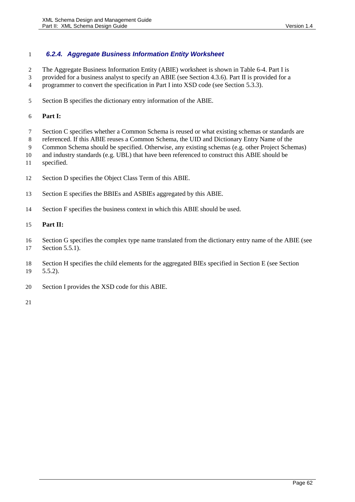### *6.2.4. Aggregate Business Information Entity Worksheet*

- The Aggregate Business Information Entity (ABIE) worksheet is shown in [Table 6-4.](#page-62-0) Part I is
- provided for a business analyst to specify an ABIE (see Section [4.3.6\)](#page-32-1). Part II is provided for a
- programmer to convert the specification in Part I into XSD code (see Sectio[n 5.3.3\)](#page-44-0).
- Section B specifies the dictionary entry information of the ABIE.

### **Part I:**

- Section C specifies whether a Common Schema is reused or what existing schemas or standards are
- referenced. If this ABIE reuses a Common Schema, the UID and Dictionary Entry Name of the
- Common Schema should be specified. Otherwise, any existing schemas (e.g. other Project Schemas)
- and industry standards (e.g. UBL) that have been referenced to construct this ABIE should be
- specified.
- Section D specifies the Object Class Term of this ABIE.
- Section E specifies the BBIEs and ASBIEs aggregated by this ABIE.
- Section F specifies the business context in which this ABIE should be used.

### **Part II:**

- Section G specifies the complex type name translated from the dictionary entry name of the ABIE (see Sectio[n 5.5.1\)](#page-50-0).
- Section H specifies the child elements for the aggregated BIEs specified in Section E (see Section [5.5.2\)](#page-51-0).
- Section I provides the XSD code for this ABIE.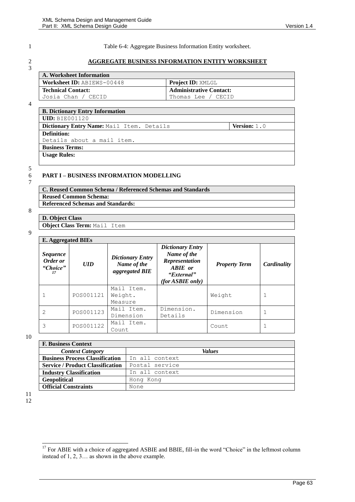3

<span id="page-62-0"></span>1 Table 6-4: Aggregate Business Information Entity worksheet.

### 2 **AGGREGATE BUSINESS INFORMATION ENTITY WORKSHEET**

| A. Worksheet Information          |                                |  |
|-----------------------------------|--------------------------------|--|
| $\mid$ Worksheet ID: ABIEWS-00448 | <b>Project ID: XMLGL</b>       |  |
| Technical Contact:                | <b>Administrative Contact:</b> |  |
| Josia Chan / CECID                | Thomas Lee / CECID             |  |

4

| <b>B. Dictionary Entry Information</b>    |                       |  |  |
|-------------------------------------------|-----------------------|--|--|
| $UID: BIE001120$                          |                       |  |  |
| Dictionary Entry Name: Mail Item. Details | <b>Version:</b> $1.0$ |  |  |
| Definition:                               |                       |  |  |
| Details about a mail item.                |                       |  |  |
| <b>Business Terms:</b>                    |                       |  |  |
| <b>Usage Rules:</b>                       |                       |  |  |
|                                           |                       |  |  |

# 5  $\frac{6}{7}$

### 6 **PART I – BUSINESS INFORMATION MODELLING**

| C. Reused Common Schema / Referenced Schemas and Standards |
|------------------------------------------------------------|
| <b>Reused Common Schema:</b>                               |
| <b>Referenced Schemas and Standards:</b>                   |

# 8

| Object Class Term: Mail Item |  |  |  |
|------------------------------|--|--|--|
|------------------------------|--|--|--|

**D. Object Class**

9

| <b>E.</b> Aggregated BIEs                     |            |                                                          |                                                                                                       |                      |             |
|-----------------------------------------------|------------|----------------------------------------------------------|-------------------------------------------------------------------------------------------------------|----------------------|-------------|
| <i>Sequence</i><br>Order or<br>"Choice"<br>17 | <b>UID</b> | <b>Dictionary Entry</b><br>Name of the<br>aggregated BIE | <b>Dictionary Entry</b><br>Name of the<br>Representation<br>ABIE or<br>"External"<br>(for ABBIE only) | <b>Property Term</b> | Cardinality |
| $\mathbf{1}$                                  | POS001121  | Mail Item.<br>Weight.<br>Measure                         |                                                                                                       | Weight               |             |
| $\mathcal{L}$                                 | POS001123  | Mail Item.<br>Dimension                                  | Dimension.<br>Details                                                                                 | Dimension            |             |
| 3                                             | POS001122  | Mail Item.<br>Count                                      |                                                                                                       | Count                |             |

### 10

| <b>F. Business Context</b>              |                |
|-----------------------------------------|----------------|
| <b>Context Category</b>                 | <b>Values</b>  |
| <b>Business Process Classification</b>  | In all context |
| <b>Service / Product Classification</b> | Postal service |
| <b>Industry Classification</b>          | In all context |
| Geopolitical                            | Hong Kong      |
| <b>Official Constraints</b>             | None           |

### 11 12

 $\overline{a}$ 

 $17$  For ABIE with a choice of aggregated ASBIE and BBIE, fill-in the word "Choice" in the leftmost column instead of 1, 2, 3… as shown in the above example.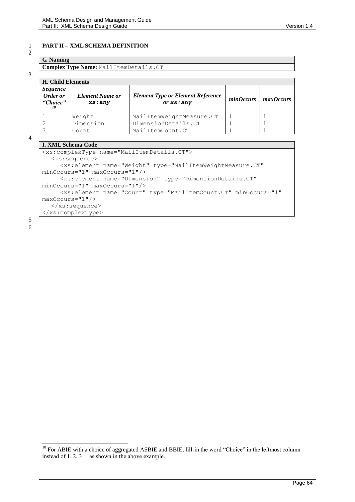### 1 **PART II – XML SCHEMA DEFINITION**

### 2

**G. Naming Complex Type Name:** MailItemDetails.CT

### 3

| <b>H. Child Elements</b>                |                                   |                                                       |           |                         |
|-----------------------------------------|-----------------------------------|-------------------------------------------------------|-----------|-------------------------|
| <i>Sequence</i><br>Order or<br>"Choice" | <b>Element Name or</b><br>xs: any | <b>Element Type or Element Reference</b><br>or xs:any | minOccurs | $\frac{1}{2}$ maxOccurs |
|                                         | Weight                            | MailItemWeightMeasure.CT                              |           |                         |
| 2                                       | Dimension                         | DimensionDetails.CT                                   |           |                         |
| 3                                       | Count                             | MailItemCount.CT                                      |           |                         |

4

### **I. XML Schema Code**

| 1. Авин венеша Соце                                                                     |
|-----------------------------------------------------------------------------------------|
| <xs:complextype name="MailItemDetails.CT"></xs:complextype>                             |
| $: sequence>$                                                                           |
| <xs:element <="" name="Weight" td="" type="MailItemWeightMeasure.CT"></xs:element>      |
| minOccurs="1" maxOccurs="1"/>                                                           |
| <xs:element <="" name="Dimension" td="" type="DimensionDetails.CT"></xs:element>        |
| minOccurs="1" maxOccurs="1"/>                                                           |
| <xs:element <="" minoccurs="1" name="Count" td="" type="MailItemCount.CT"></xs:element> |
| maxOccurs="1"/>                                                                         |
| $\langle xs:sequence \rangle$                                                           |
|                                                                                         |
|                                                                                         |

5 6

 $\overline{a}$ 

 $18$  For ABIE with a choice of aggregated ASBIE and BBIE, fill-in the word "Choice" in the leftmost column instead of 1, 2, 3… as shown in the above example.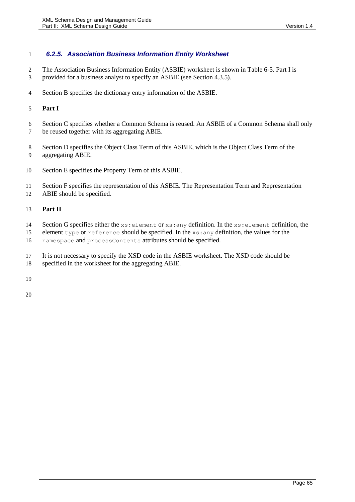### *6.2.5. Association Business Information Entity Worksheet*

- The Association Business Information Entity (ASBIE) worksheet is shown in [Table 6-5.](#page-65-0) Part I is
- provided for a business analyst to specify an ASBIE (see Sectio[n 4.3.5\)](#page-31-0).
- Section B specifies the dictionary entry information of the ASBIE.

### **Part I**

- Section C specifies whether a Common Schema is reused. An ASBIE of a Common Schema shall only
- be reused together with its aggregating ABIE.
- Section D specifies the Object Class Term of this ASBIE, which is the Object Class Term of the aggregating ABIE.
- Section E specifies the Property Term of this ASBIE.
- Section F specifies the representation of this ASBIE. The Representation Term and Representation
- ABIE should be specified.

### **Part II**

- Section G specifies either the xs:element or xs:any definition. In the xs:element definition, the
- element type or reference should be specified. In the xs:any definition, the values for the
- namespace and processContents attributes should be specified.
- It is not necessary to specify the XSD code in the ASBIE worksheet. The XSD code should be
- specified in the worksheet for the aggregating ABIE.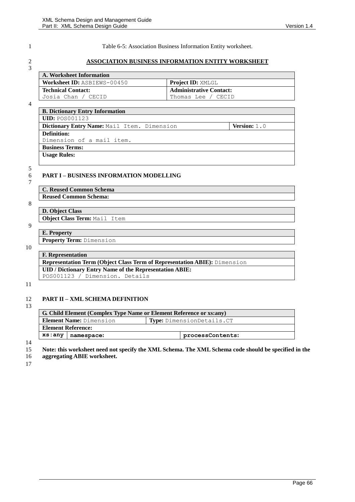<span id="page-65-0"></span>

3

1 Table 6-5: Association Business Information Entity worksheet.

### 2 **ASSOCIATION BUSINESS INFORMATION ENTITY WORKSHEET**

| A. Worksheet Information           |                                |
|------------------------------------|--------------------------------|
| <b>Worksheet ID:</b> ASBIEWS-00450 | <b>Project ID:</b> XMLGL       |
| Technical Contact:                 | <b>Administrative Contact:</b> |
| Josia Chan / CECID                 | Thomas Lee / CECID             |

4

| <b>B. Dictionary Entry Information</b>                               |  |  |  |  |
|----------------------------------------------------------------------|--|--|--|--|
| <b>UID: POSO01123</b>                                                |  |  |  |  |
| Dictionary Entry Name: Mail Item. Dimension<br><b>Version:</b> $1.0$ |  |  |  |  |
| Definition:                                                          |  |  |  |  |
| Dimension of a mail item.                                            |  |  |  |  |
| <b>Business Terms:</b>                                               |  |  |  |  |
| <b>Usage Rules:</b>                                                  |  |  |  |  |
|                                                                      |  |  |  |  |

### 5

### 6 **PART I – BUSINESS INFORMATION MODELLING**

7

| <b>C. Reused Common Schema</b> |
|--------------------------------|
| <b>Reused Common Schema:</b>   |

**E. Property**

# 8

**D. Object Class Object Class Term:** Mail Item

### 9

**Property Term:** Dimension

### 10

**F. Representation Representation Term (Object Class Term of Representation ABIE):** Dimension **UID / Dictionary Entry Name of the Representation ABIE:**  POS001123 / Dimension. Details

### 11

### 12 **PART II – XML SCHEMA DEFINITION**

13

| G. Child Element (Complex Type Name or Element Reference or xs:any) |                  |  |
|---------------------------------------------------------------------|------------------|--|
| <b>Element Name: Dimension</b><br>Type: DimensionDetails.CT         |                  |  |
| <b>Element Reference:</b>                                           |                  |  |
| xs:any<br>namespace:                                                | processContents: |  |

14

15 **Note: this worksheet need not specify the XML Schema. The XML Schema code should be specified in the** 

16 **aggregating ABIE worksheet.**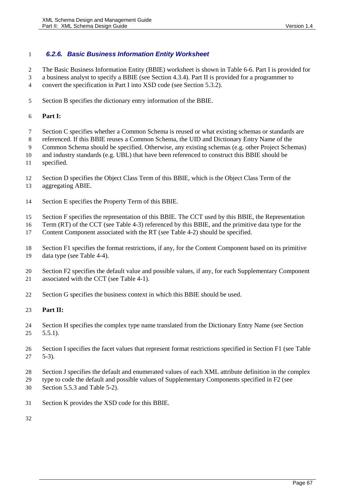### *6.2.6. Basic Business Information Entity Worksheet*

The Basic Business Information Entity (BBIE) worksheet is shown in [Table 6-6.](#page-67-0) Part I is provided for

 a business analyst to specify a BBIE (see Section [4.3.4\)](#page-29-0). Part II is provided for a programmer to convert the specification in Part I into XSD code (see Section [5.3.2\)](#page-42-0).

- 
- Section B specifies the dictionary entry information of the BBIE.

### **Part I:**

- Section C specifies whether a Common Schema is reused or what existing schemas or standards are
- referenced. If this BBIE reuses a Common Schema, the UID and Dictionary Entry Name of the
- Common Schema should be specified. Otherwise, any existing schemas (e.g. other Project Schemas)
- and industry standards (e.g. UBL) that have been referenced to construct this BBIE should be
- specified.
- Section D specifies the Object Class Term of this BBIE, which is the Object Class Term of the
- aggregating ABIE.
- Section E specifies the Property Term of this BBIE.
- Section F specifies the representation of this BBIE. The CCT used by this BBIE, the Representation
- Term (RT) of the CCT (see [Table 4-3\)](#page-28-0) referenced by this BBIE, and the primitive data type for the
- Content Component associated with the RT (see [Table 4-2\)](#page-28-1) should be specified.
- Section F1 specifies the format restrictions, if any, for the Content Component based on its primitive
- data type (see [Table 4-4\)](#page-30-0).
- Section F2 specifies the default value and possible values, if any, for each Supplementary Component 21 associated with the CCT (see [Table 4-1\)](#page-26-0).
- Section G specifies the business context in which this BBIE should be used.

### **Part II:**

- Section H specifies the complex type name translated from the Dictionary Entry Name (see Section  $5.5.1$ ).
- Section I specifies the facet values that represent format restrictions specified in Section F1 (see [Table](#page-43-0)  [5-3\)](#page-43-0).
- Section J specifies the default and enumerated values of each XML attribute definition in the complex
- type to code the default and possible values of Supplementary Components specified in F2 (see
- Sectio[n 5.5.3](#page-52-0) and [Table 5-2\)](#page-41-1).
- Section K provides the XSD code for this BBIE.
-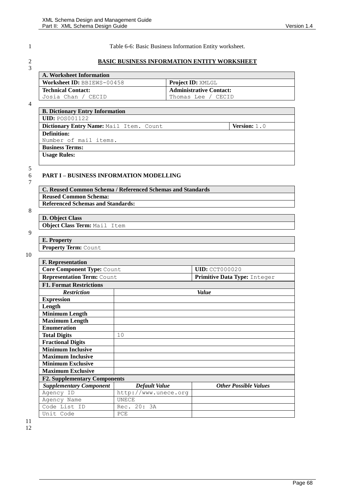<span id="page-67-0"></span>

 $\frac{2}{3}$ 

1 Table 6-6: Basic Business Information Entity worksheet.

### 2 **BASIC BUSINESS INFORMATION ENTITY WORKSHEET**

| A. Worksheet Information   |                                |
|----------------------------|--------------------------------|
| Worksheet ID: BBIEWS-00458 | <b>Project ID:</b> XMLGL       |
| <b>Technical Contact:</b>  | <b>Administrative Contact:</b> |
| Josia Chan / CECID         | Thomas Lee / CECID             |

4

| <b>B. Dictionary Entry Information</b>  |                       |
|-----------------------------------------|-----------------------|
| <b>UID: POS001122</b>                   |                       |
| Dictionary Entry Name: Mail Item. Count | <b>Version:</b> $1.0$ |
| <b>Definition:</b>                      |                       |
| Number of mail items.                   |                       |
| <b>Business Terms:</b>                  |                       |
| <b>Usage Rules:</b>                     |                       |
|                                         |                       |

## 5 7

### 6 **PART I – BUSINESS INFORMATION MODELLING**

| C. Reused Common Schema / Referenced Schemas and Standards |
|------------------------------------------------------------|
| <b>Reused Common Schema:</b>                               |
| <b>Referenced Schemas and Standards:</b>                   |
|                                                            |

# 8

**D. Object Class Object Class Term:** Mail Item

### 9

**E. Property Property Term:** Count

| <b>F.</b> Representation            |                              |                              |  |
|-------------------------------------|------------------------------|------------------------------|--|
| Core Component Type: Count          |                              | <b>UID: CCT000020</b>        |  |
| Representation Term: Count          | Primitive Data Type: Integer |                              |  |
| <b>F1. Format Restrictions</b>      |                              |                              |  |
| <b>Restriction</b>                  |                              | Value                        |  |
| <b>Expression</b>                   |                              |                              |  |
| Length                              |                              |                              |  |
| <b>Minimum Length</b>               |                              |                              |  |
| <b>Maximum Length</b>               |                              |                              |  |
| <b>Enumeration</b>                  |                              |                              |  |
| <b>Total Digits</b>                 | 10                           |                              |  |
| <b>Fractional Digits</b>            |                              |                              |  |
| <b>Minimum Inclusive</b>            |                              |                              |  |
| <b>Maximum Inclusive</b>            |                              |                              |  |
| <b>Minimum Exclusive</b>            |                              |                              |  |
| <b>Maximum Exclusive</b>            |                              |                              |  |
| <b>F2. Supplementary Components</b> |                              |                              |  |
| <b>Supplementary Component</b>      | <b>Default Value</b>         | <b>Other Possible Values</b> |  |
| Agency ID                           | http://www.unece.org         |                              |  |
| Agency Name                         | UNECE                        |                              |  |
| Code List ID                        | Rec. 20: 3A                  |                              |  |
| Unit Code                           | PCE                          |                              |  |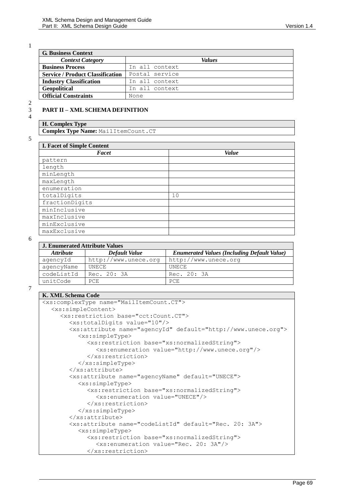1

| <b>G. Business Context</b>              |                |  |  |
|-----------------------------------------|----------------|--|--|
| <b>Context Category</b>                 | <i>Values</i>  |  |  |
| <b>Business Process</b>                 | In all context |  |  |
| <b>Service / Product Classification</b> | Postal service |  |  |
| <b>Industry Classification</b>          | In all context |  |  |
| <b>Geopolitical</b>                     | In all context |  |  |
| <b>Official Constraints</b>             | None           |  |  |

4

**H. Complex Type Complex Type Name:** MailItemCount.CT

3 **PART II – XML SCHEMA DEFINITION**

5

| <b>I. Facet of Simple Content</b> |              |  |  |
|-----------------------------------|--------------|--|--|
| Facet                             | <b>Value</b> |  |  |
| pattern                           |              |  |  |
| length                            |              |  |  |
| minLength                         |              |  |  |
| maxLength                         |              |  |  |
| enumeration                       |              |  |  |
| totalDigits                       | 10           |  |  |
| fractionDigits                    |              |  |  |
| minInclusive                      |              |  |  |
| maxInclusive                      |              |  |  |
| minExclusive                      |              |  |  |
| maxExclusive                      |              |  |  |

6

| <b>J. Enumerated Attribute Values</b> |                      |                                                    |  |
|---------------------------------------|----------------------|----------------------------------------------------|--|
| <b>Attribute</b>                      | Default Value        | <b>Enumerated Values (Including Default Value)</b> |  |
| aqencyId                              | http://www.unece.org | http://www.unece.org                               |  |
| agencyName                            | UNECE                | UNECE                                              |  |
| codeListId                            | Rec. 20: 3A          | Rec. 20: 3A                                        |  |
| unitCode                              | PCE.                 | PCE                                                |  |
|                                       |                      |                                                    |  |

```
K. XML Schema Code
<xs:complexType name="MailItemCount.CT">
  <xs:simpleContent>
     <xs:restriction base="cct:Count.CT">
       <xs:totalDigits value="10"/>
       <xs:attribute name="agencyId" default="http://www.unece.org">
          <xs:simpleType>
             <xs:restriction base="xs:normalizedString">
               <xs:enumeration value="http://www.unece.org"/>
             </xs:restriction>
          </xs:simpleType>
       </xs:attribute>
       <xs:attribute name="agencyName" default="UNECE">
          <xs:simpleType>
             <xs:restriction base="xs:normalizedString">
               <xs:enumeration value="UNECE"/>
             </xs:restriction>
          </xs:simpleType>
       </xs:attribute>
       <xs:attribute name="codeListId" default="Rec. 20: 3A">
          <xs:simpleType>
             <xs:restriction base="xs:normalizedString">
               <xs:enumeration value="Rec. 20: 3A"/>
            </xs:restriction>
```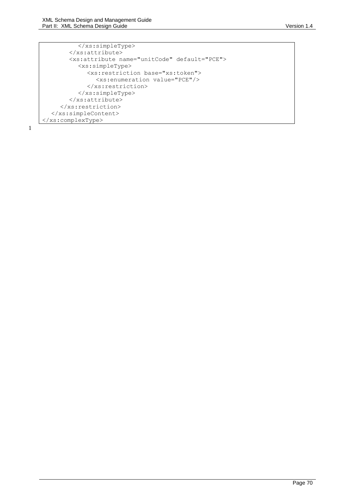</xs:simpleType> </xs:attribute> <xs:attribute name="unitCode" default="PCE"> <xs:simpleType> <xs:restriction base="xs:token"> <xs:enumeration value="PCE"/> </xs:restriction> </xs:simpleType> </xs:attribute> </xs:restriction> </xs:simpleContent> </xs:complexType>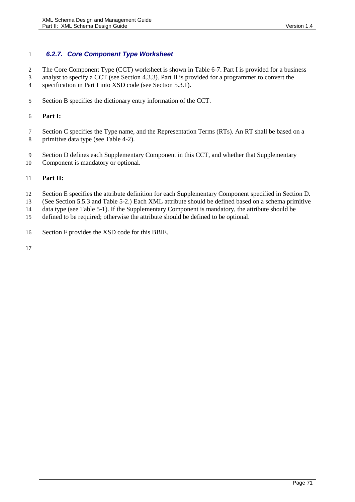### *6.2.7. Core Component Type Worksheet*

The Core Component Type (CCT) worksheet is shown in [Table 6-7.](#page-71-0) Part I is provided for a business

analyst to specify a CCT (see Sectio[n 4.3.3\)](#page-26-1). Part II is provided for a programmer to convert the

- specification in Part I into XSD code (see Section [5.3.1\)](#page-40-0).
- Section B specifies the dictionary entry information of the CCT.

### **Part I:**

- 7 Section C specifies the Type name, and the Representation Terms (RTs). An RT shall be based on a primitive data type (see [Table 4-2\)](#page-28-1).
- Section D defines each Supplementary Component in this CCT, and whether that Supplementary
- Component is mandatory or optional.

### **Part II:**

- Section E specifies the attribute definition for each Supplementary Component specified in Section D.
- (See Section [5.5.3](#page-52-0) and [Table 5-2.](#page-41-1)) Each XML attribute should be defined based on a schema primitive
- data type (see [Table 5-1\)](#page-41-0). If the Supplementary Component is mandatory, the attribute should be
- defined to be required; otherwise the attribute should be defined to be optional.
- Section F provides the XSD code for this BBIE.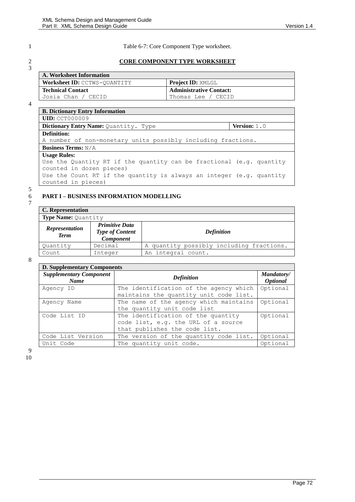6 **PART I – BUSINESS INFORMATION MODELLING**

3

<span id="page-71-0"></span>1 Table 6-7: Core Component Type worksheet.

### 2 **CORE COMPONENT TYPE WORKSHEET**

| A. Worksheet Information     |                                |
|------------------------------|--------------------------------|
| Worksheet ID: CCTWS-OUANTITY | <b>Project ID: XMLGL</b>       |
| <b>Technical Contact</b>     | <b>Administrative Contact:</b> |
| Josia Chan / CECID           | Thomas Lee / CECID             |

4

| <b>B. Dictionary Entry Information</b>                               |                       |
|----------------------------------------------------------------------|-----------------------|
| <b>UID: CCT000009</b>                                                |                       |
| Dictionary Entry Name: Quantity. Type                                | <b>Version:</b> $1.0$ |
| <b>Definition:</b>                                                   |                       |
| A number of non-monetary units possibly including fractions.         |                       |
| <b>Business Terms:</b> $N/A$                                         |                       |
| <b>Usage Rules:</b>                                                  |                       |
| Use the Quantity RT if the quantity can be fractional (e.g. quantity |                       |
| counted in dozen pieces)                                             |                       |
| Use the Count RT if the quantity is always an integer (e.g. quantity |                       |
| counted in pieces)                                                   |                       |

# 5

7

| C. Representation                    |                        |                                          |
|--------------------------------------|------------------------|------------------------------------------|
| <b>Type Name: Quantity</b>           |                        |                                          |
|                                      | <b>Primitive Data</b>  |                                          |
| <b>Representation</b><br><b>Term</b> | <b>Type of Content</b> | <b>Definition</b>                        |
|                                      | <b>Component</b>       |                                          |
| Quantity                             | Decimal                | A quantity possibly including fractions. |
| Count                                | Integer                | An integral count.                       |

8

| <b>D. Supplementary Components</b>            |                                                                                                            |                                      |  |
|-----------------------------------------------|------------------------------------------------------------------------------------------------------------|--------------------------------------|--|
| <b>Supplementary Component</b><br><b>Name</b> | <b>Definition</b>                                                                                          | Mandatory/<br><i><b>Optional</b></i> |  |
| Agency ID                                     | The identification of the agency which<br>maintains the quantity unit code list.                           | Optional                             |  |
| Agency Name                                   | The name of the agency which maintains<br>the quantity unit code list                                      | Optional                             |  |
| Code List ID                                  | The identification of the quantity<br>code list, e.g. the URL of a source<br>that publishes the code list. | Optional                             |  |
| Code List Version                             | The version of the quantity code list.                                                                     | Optional                             |  |
| Unit Code                                     | The quantity unit code.                                                                                    | Optional                             |  |

9